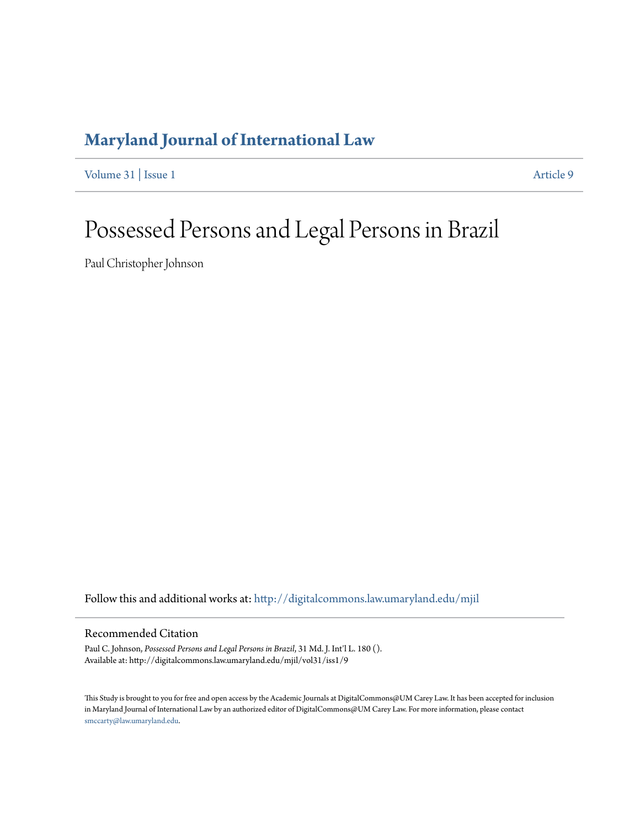# **[Maryland Journal of International Law](http://digitalcommons.law.umaryland.edu/mjil?utm_source=digitalcommons.law.umaryland.edu%2Fmjil%2Fvol31%2Fiss1%2F9&utm_medium=PDF&utm_campaign=PDFCoverPages)**

[Volume 31](http://digitalcommons.law.umaryland.edu/mjil/vol31?utm_source=digitalcommons.law.umaryland.edu%2Fmjil%2Fvol31%2Fiss1%2F9&utm_medium=PDF&utm_campaign=PDFCoverPages) | [Issue 1](http://digitalcommons.law.umaryland.edu/mjil/vol31/iss1?utm_source=digitalcommons.law.umaryland.edu%2Fmjil%2Fvol31%2Fiss1%2F9&utm_medium=PDF&utm_campaign=PDFCoverPages) [Article 9](http://digitalcommons.law.umaryland.edu/mjil/vol31/iss1/9?utm_source=digitalcommons.law.umaryland.edu%2Fmjil%2Fvol31%2Fiss1%2F9&utm_medium=PDF&utm_campaign=PDFCoverPages)

# Possessed Persons and Legal Persons in Brazil

Paul Christopher Johnson

Follow this and additional works at: [http://digitalcommons.law.umaryland.edu/mjil](http://digitalcommons.law.umaryland.edu/mjil?utm_source=digitalcommons.law.umaryland.edu%2Fmjil%2Fvol31%2Fiss1%2F9&utm_medium=PDF&utm_campaign=PDFCoverPages)

# Recommended Citation

Paul C. Johnson, *Possessed Persons and Legal Persons in Brazil*, 31 Md. J. Int'l L. 180 (). Available at: http://digitalcommons.law.umaryland.edu/mjil/vol31/iss1/9

This Study is brought to you for free and open access by the Academic Journals at DigitalCommons@UM Carey Law. It has been accepted for inclusion in Maryland Journal of International Law by an authorized editor of DigitalCommons@UM Carey Law. For more information, please contact [smccarty@law.umaryland.edu.](mailto:smccarty@law.umaryland.edu)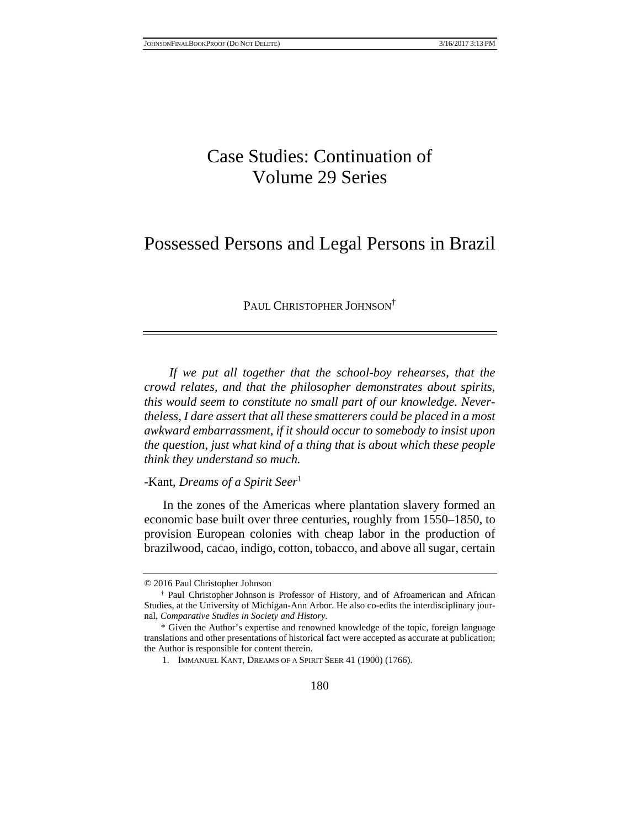# Case Studies: Continuation of Volume 29 Series

# Possessed Persons and Legal Persons in Brazil

PAUL CHRISTOPHER JOHNSON<sup>†</sup>

*If we put all together that the school-boy rehearses, that the crowd relates, and that the philosopher demonstrates about spirits, this would seem to constitute no small part of our knowledge. Nevertheless, I dare assert that all these smatterers could be placed in a most awkward embarrassment, if it should occur to somebody to insist upon the question, just what kind of a thing that is about which these people think they understand so much.*

-Kant, *Dreams of a Spirit Seer*<sup>1</sup>

In the zones of the Americas where plantation slavery formed an economic base built over three centuries, roughly from 1550–1850, to provision European colonies with cheap labor in the production of brazilwood, cacao, indigo, cotton, tobacco, and above all sugar, certain

<sup>© 2016</sup> Paul Christopher Johnson

<sup>†</sup> Paul Christopher Johnson is Professor of History, and of Afroamerican and African Studies, at the University of Michigan-Ann Arbor. He also co-edits the interdisciplinary journal, *Comparative Studies in Society and History*.

<sup>\*</sup> Given the Author's expertise and renowned knowledge of the topic, foreign language translations and other presentations of historical fact were accepted as accurate at publication; the Author is responsible for content therein.

 <sup>1.</sup> IMMANUEL KANT, DREAMS OF A SPIRIT SEER 41 (1900) (1766).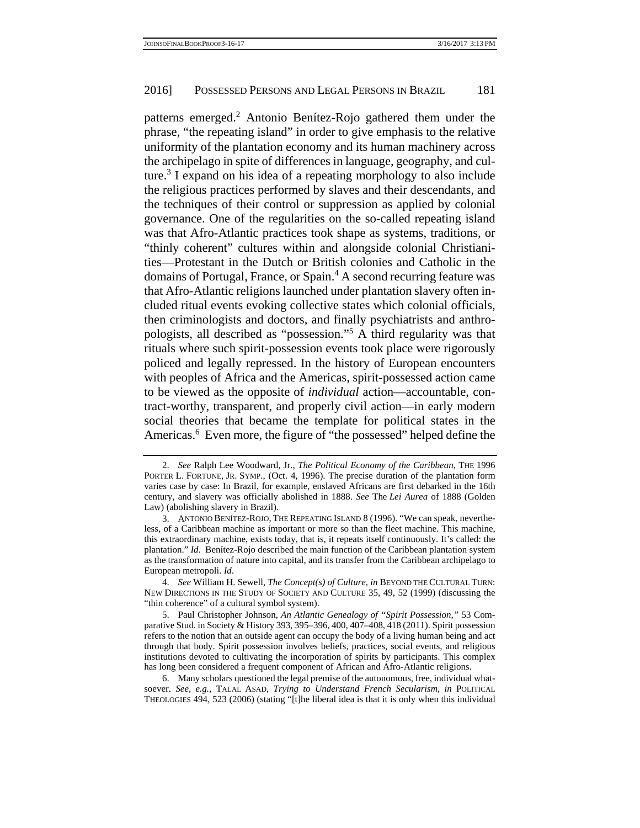patterns emerged.<sup>2</sup> Antonio Benítez-Rojo gathered them under the phrase, "the repeating island" in order to give emphasis to the relative uniformity of the plantation economy and its human machinery across the archipelago in spite of differences in language, geography, and culture.<sup>3</sup> I expand on his idea of a repeating morphology to also include the religious practices performed by slaves and their descendants, and the techniques of their control or suppression as applied by colonial governance. One of the regularities on the so-called repeating island was that Afro-Atlantic practices took shape as systems, traditions, or "thinly coherent" cultures within and alongside colonial Christianities—Protestant in the Dutch or British colonies and Catholic in the domains of Portugal, France, or Spain.<sup>4</sup> A second recurring feature was that Afro-Atlantic religions launched under plantation slavery often included ritual events evoking collective states which colonial officials, then criminologists and doctors, and finally psychiatrists and anthropologists, all described as "possession."5 A third regularity was that rituals where such spirit-possession events took place were rigorously policed and legally repressed. In the history of European encounters with peoples of Africa and the Americas, spirit-possessed action came to be viewed as the opposite of *individual* action—accountable, contract-worthy, transparent, and properly civil action—in early modern social theories that became the template for political states in the Americas.<sup>6</sup> Even more, the figure of "the possessed" helped define the

 <sup>2.</sup> *See* Ralph Lee Woodward, Jr., *The Political Economy of the Caribbean*, THE 1996 PORTER L. FORTUNE, JR. SYMP., (Oct. 4, 1996). The precise duration of the plantation form varies case by case: In Brazil, for example, enslaved Africans are first debarked in the 16th century, and slavery was officially abolished in 1888. *See* The *Lei Aurea* of 1888 (Golden Law) (abolishing slavery in Brazil).

 <sup>3.</sup> ANTONIO BENÍTEZ-ROJO, THE REPEATING ISLAND 8 (1996). "We can speak, nevertheless, of a Caribbean machine as important or more so than the fleet machine. This machine, this extraordinary machine, exists today, that is, it repeats itself continuously. It's called: the plantation." *Id*. Benítez-Rojo described the main function of the Caribbean plantation system as the transformation of nature into capital, and its transfer from the Caribbean archipelago to European metropoli. *Id*.

 <sup>4.</sup> *See* William H. Sewell, *The Concept(s) of Culture*, *in* BEYOND THE CULTURAL TURN: NEW DIRECTIONS IN THE STUDY OF SOCIETY AND CULTURE 35, 49, 52 (1999) (discussing the "thin coherence" of a cultural symbol system).

 <sup>5.</sup> Paul Christopher Johnson, *An Atlantic Genealogy of "Spirit Possession,"* 53 Comparative Stud. in Society & History 393, 395–396, 400, 407–408, 418 (2011). Spirit possession refers to the notion that an outside agent can occupy the body of a living human being and act through that body. Spirit possession involves beliefs, practices, social events, and religious institutions devoted to cultivating the incorporation of spirits by participants. This complex has long been considered a frequent component of African and Afro-Atlantic religions.

 <sup>6.</sup> Many scholars questioned the legal premise of the autonomous, free, individual whatsoever. *See, e.g.*, TALAL ASAD, *Trying to Understand French Secularism, in* POLITICAL THEOLOGIES 494, 523 (2006) (stating "[t]he liberal idea is that it is only when this individual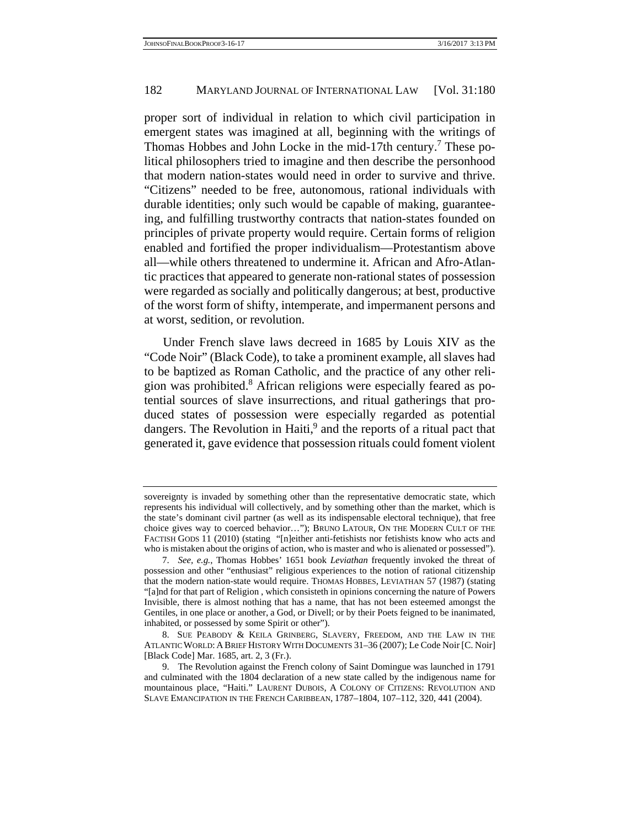proper sort of individual in relation to which civil participation in emergent states was imagined at all, beginning with the writings of Thomas Hobbes and John Locke in the mid-17th century.<sup>7</sup> These political philosophers tried to imagine and then describe the personhood that modern nation-states would need in order to survive and thrive. "Citizens" needed to be free, autonomous, rational individuals with durable identities; only such would be capable of making, guaranteeing, and fulfilling trustworthy contracts that nation-states founded on principles of private property would require. Certain forms of religion enabled and fortified the proper individualism—Protestantism above all—while others threatened to undermine it. African and Afro-Atlantic practices that appeared to generate non-rational states of possession were regarded as socially and politically dangerous; at best, productive of the worst form of shifty, intemperate, and impermanent persons and at worst, sedition, or revolution.

 Under French slave laws decreed in 1685 by Louis XIV as the "Code Noir" (Black Code), to take a prominent example, all slaves had to be baptized as Roman Catholic, and the practice of any other religion was prohibited.<sup>8</sup> African religions were especially feared as potential sources of slave insurrections, and ritual gatherings that produced states of possession were especially regarded as potential dangers. The Revolution in Haiti,<sup>9</sup> and the reports of a ritual pact that generated it, gave evidence that possession rituals could foment violent

sovereignty is invaded by something other than the representative democratic state, which represents his individual will collectively, and by something other than the market, which is the state's dominant civil partner (as well as its indispensable electoral technique), that free choice gives way to coerced behavior…"); BRUNO LATOUR, ON THE MODERN CULT OF THE FACTISH GODS 11 (2010) (stating "[n]either anti-fetishists nor fetishists know who acts and who is mistaken about the origins of action, who is master and who is alienated or possessed").

 <sup>7.</sup> *See, e.g.*, Thomas Hobbes' 1651 book *Leviathan* frequently invoked the threat of possession and other "enthusiast" religious experiences to the notion of rational citizenship that the modern nation-state would require. THOMAS HOBBES, LEVIATHAN 57 (1987) (stating "[a]nd for that part of Religion , which consisteth in opinions concerning the nature of Powers Invisible, there is almost nothing that has a name, that has not been esteemed amongst the Gentiles, in one place or another, a God, or Divell; or by their Poets feigned to be inanimated, inhabited, or possessed by some Spirit or other").

 <sup>8.</sup> SUE PEABODY & KEILA GRINBERG, SLAVERY, FREEDOM, AND THE LAW IN THE ATLANTIC WORLD: A BRIEF HISTORY WITH DOCUMENTS 31–36 (2007); Le Code Noir [C. Noir] [Black Code] Mar. 1685, art. 2, 3 (Fr.).

 <sup>9.</sup> The Revolution against the French colony of Saint Domingue was launched in 1791 and culminated with the 1804 declaration of a new state called by the indigenous name for mountainous place, "Haiti." LAURENT DUBOIS, A COLONY OF CITIZENS: REVOLUTION AND SLAVE EMANCIPATION IN THE FRENCH CARIBBEAN, 1787–1804, 107–112, 320, 441 (2004).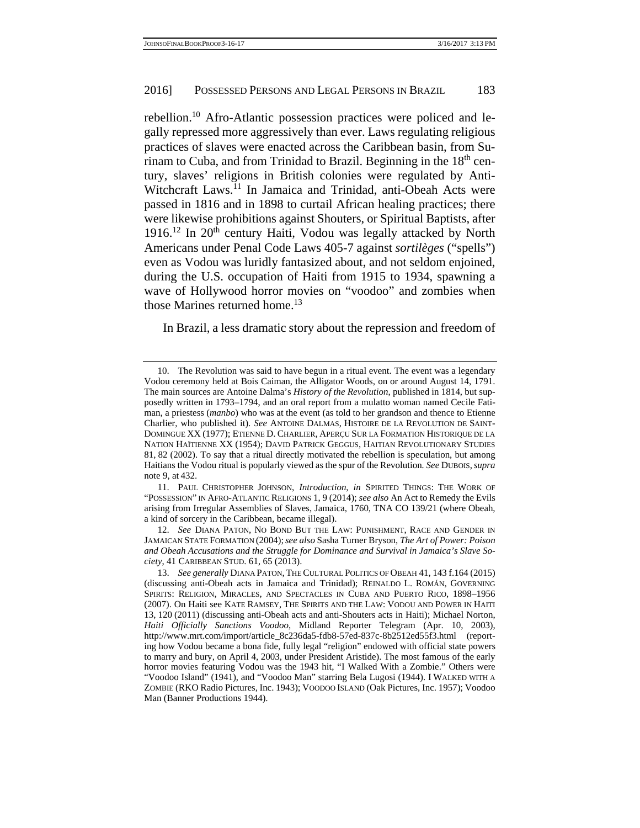rebellion.10 Afro-Atlantic possession practices were policed and legally repressed more aggressively than ever. Laws regulating religious practices of slaves were enacted across the Caribbean basin, from Surinam to Cuba, and from Trinidad to Brazil. Beginning in the  $18<sup>th</sup>$  century, slaves' religions in British colonies were regulated by Anti-Witchcraft Laws.<sup>11</sup> In Jamaica and Trinidad, anti-Obeah Acts were passed in 1816 and in 1898 to curtail African healing practices; there were likewise prohibitions against Shouters, or Spiritual Baptists, after  $1916$ .<sup>12</sup> In  $20<sup>th</sup>$  century Haiti, Vodou was legally attacked by North Americans under Penal Code Laws 405-7 against *sortilèges* ("spells") even as Vodou was luridly fantasized about, and not seldom enjoined, during the U.S. occupation of Haiti from 1915 to 1934, spawning a wave of Hollywood horror movies on "voodoo" and zombies when those Marines returned home.<sup>13</sup>

In Brazil, a less dramatic story about the repression and freedom of

 11. PAUL CHRISTOPHER JOHNSON, *Introduction*, *in* SPIRITED THINGS: THE WORK OF "POSSESSION" IN AFRO-ATLANTIC RELIGIONS 1, 9 (2014); *see also* An Act to Remedy the Evils arising from Irregular Assemblies of Slaves, Jamaica, 1760, TNA CO 139/21 (where Obeah, a kind of sorcery in the Caribbean, became illegal).

 12. *See* DIANA PATON, NO BOND BUT THE LAW: PUNISHMENT, RACE AND GENDER IN JAMAICAN STATE FORMATION (2004);*see also* Sasha Turner Bryson, *The Art of Power: Poison and Obeah Accusations and the Struggle for Dominance and Survival in Jamaica's Slave Society*, 41 CARIBBEAN STUD. 61, 65 (2013).

 <sup>10.</sup> The Revolution was said to have begun in a ritual event. The event was a legendary Vodou ceremony held at Bois Caiman, the Alligator Woods, on or around August 14, 1791. The main sources are Antoine Dalma's *History of the Revolution*, published in 1814, but supposedly written in 1793–1794, and an oral report from a mulatto woman named Cecile Fatiman, a priestess (*manbo*) who was at the event (as told to her grandson and thence to Etienne Charlier, who published it). *See* ANTOINE DALMAS, HISTOIRE DE LA REVOLUTION DE SAINT-DOMINGUE XX (1977); ETIENNE D. CHARLIER, APERÇU SUR LA FORMATION HISTORIQUE DE LA NATION HAÏTIENNE XX (1954); DAVID PATRICK GEGGUS, HAITIAN REVOLUTIONARY STUDIES 81, 82 (2002). To say that a ritual directly motivated the rebellion is speculation, but among Haitians the Vodou ritual is popularly viewed as the spur of the Revolution*. See* DUBOIS,*supra* note 9, at 432.

 <sup>13.</sup> *See generally* DIANA PATON, THE CULTURAL POLITICS OF OBEAH 41, 143 f.164 (2015) (discussing anti-Obeah acts in Jamaica and Trinidad); REINALDO L. ROMÁN, GOVERNING SPIRITS: RELIGION, MIRACLES, AND SPECTACLES IN CUBA AND PUERTO RICO, 1898–1956 (2007). On Haiti see KATE RAMSEY, THE SPIRITS AND THE LAW: VODOU AND POWER IN HAITI 13, 120 (2011) (discussing anti-Obeah acts and anti-Shouters acts in Haiti); Michael Norton, *Haiti Officially Sanctions Voodoo*, Midland Reporter Telegram (Apr. 10, 2003), http://www.mrt.com/import/article\_8c236da5-fdb8-57ed-837c-8b2512ed55f3.html (reporting how Vodou became a bona fide, fully legal "religion" endowed with official state powers to marry and bury, on April 4, 2003, under President Aristide). The most famous of the early horror movies featuring Vodou was the 1943 hit, "I Walked With a Zombie." Others were "Voodoo Island" (1941), and "Voodoo Man" starring Bela Lugosi (1944). I WALKED WITH A ZOMBIE (RKO Radio Pictures, Inc. 1943); VOODOO ISLAND (Oak Pictures, Inc. 1957); Voodoo Man (Banner Productions 1944).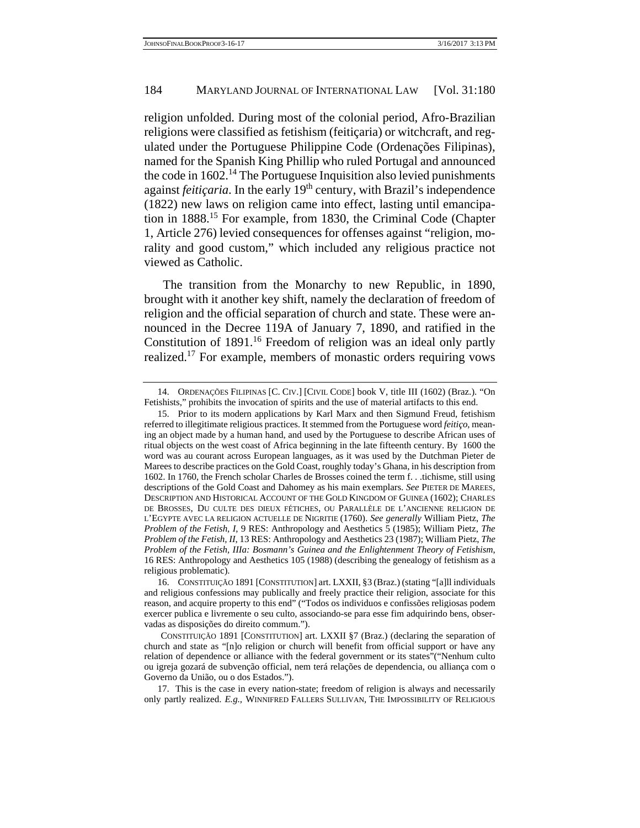religion unfolded. During most of the colonial period, Afro-Brazilian religions were classified as fetishism (feiticaria) or witchcraft, and regulated under the Portuguese Philippine Code (Ordenações Filipinas), named for the Spanish King Phillip who ruled Portugal and announced the code in  $1602<sup>14</sup>$ . The Portuguese Inquisition also levied punishments against *feitiçaria*. In the early 19<sup>th</sup> century, with Brazil's independence (1822) new laws on religion came into effect, lasting until emancipation in 1888.15 For example, from 1830, the Criminal Code (Chapter 1, Article 276) levied consequences for offenses against "religion, morality and good custom," which included any religious practice not viewed as Catholic.

 The transition from the Monarchy to new Republic, in 1890, brought with it another key shift, namely the declaration of freedom of religion and the official separation of church and state. These were announced in the Decree 119A of January 7, 1890, and ratified in the Constitution of 1891.<sup>16</sup> Freedom of religion was an ideal only partly realized.17 For example, members of monastic orders requiring vows

 <sup>14.</sup> ORDENAÇÕES FILIPINAS [C. CIV.] [CIVIL CODE] book V, title III (1602) (Braz.). "On Fetishists," prohibits the invocation of spirits and the use of material artifacts to this end.

 <sup>15.</sup> Prior to its modern applications by Karl Marx and then Sigmund Freud, fetishism referred to illegitimate religious practices. It stemmed from the Portuguese word *feitiço*, meaning an object made by a human hand, and used by the Portuguese to describe African uses of ritual objects on the west coast of Africa beginning in the late fifteenth century. By 1600 the word was au courant across European languages, as it was used by the Dutchman Pieter de Marees to describe practices on the Gold Coast, roughly today's Ghana, in his description from 1602. In 1760, the French scholar Charles de Brosses coined the term f. . .tichisme, still using descriptions of the Gold Coast and Dahomey as his main exemplars. *See* PIETER DE MAREES, DESCRIPTION AND HISTORICAL ACCOUNT OF THE GOLD KINGDOM OF GUINEA (1602); CHARLES DE BROSSES, DU CULTE DES DIEUX FÉTICHES, OU PARALLÈLE DE L'ANCIENNE RELIGION DE L'EGYPTE AVEC LA RELIGION ACTUELLE DE NIGRITIE (1760). *See generally* William Pietz, *The Problem of the Fetish, I*, 9 RES: Anthropology and Aesthetics 5 (1985); William Pietz, *The Problem of the Fetish, II*, 13 RES: Anthropology and Aesthetics 23 (1987); William Pietz, *The Problem of the Fetish, IIIa: Bosmann's Guinea and the Enlightenment Theory of Fetishism*, 16 RES: Anthropology and Aesthetics 105 (1988) (describing the genealogy of fetishism as a religious problematic).

 <sup>16.</sup> CONSTITUIÇÃO 1891 [CONSTITUTION] art. LXXII, §3 (Braz.) (stating "[a]ll individuals and religious confessions may publically and freely practice their religion, associate for this reason, and acquire property to this end" ("Todos os individuos e confissões religiosas podem exercer publica e livremente o seu culto, associando-se para esse fim adquirindo bens, observadas as disposições do direito commum.").

CONSTITUIÇÃO 1891 [CONSTITUTION] art. LXXII §7 (Braz.) (declaring the separation of church and state as "[n]o religion or church will benefit from official support or have any relation of dependence or alliance with the federal government or its states"("Nenhum culto ou igreja gozará de subvenção official, nem terá relações de dependencia, ou alliança com o Governo da União, ou o dos Estados.").

 <sup>17.</sup> This is the case in every nation-state; freedom of religion is always and necessarily only partly realized. *E.g.,* WINNIFRED FALLERS SULLIVAN, THE IMPOSSIBILITY OF RELIGIOUS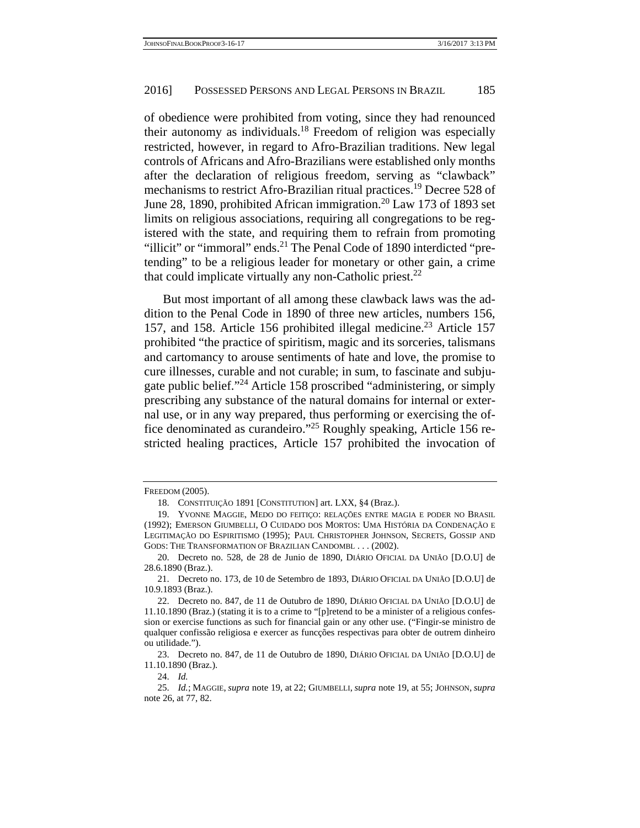of obedience were prohibited from voting, since they had renounced their autonomy as individuals.18 Freedom of religion was especially restricted, however, in regard to Afro-Brazilian traditions. New legal controls of Africans and Afro-Brazilians were established only months after the declaration of religious freedom, serving as "clawback" mechanisms to restrict Afro-Brazilian ritual practices.19 Decree 528 of June 28, 1890, prohibited African immigration.<sup>20</sup> Law 173 of 1893 set limits on religious associations, requiring all congregations to be registered with the state, and requiring them to refrain from promoting "illicit" or "immoral" ends.<sup>21</sup> The Penal Code of 1890 interdicted "pretending" to be a religious leader for monetary or other gain, a crime that could implicate virtually any non-Catholic priest.<sup>22</sup>

 But most important of all among these clawback laws was the addition to the Penal Code in 1890 of three new articles, numbers 156, 157, and 158. Article 156 prohibited illegal medicine.<sup>23</sup> Article 157 prohibited "the practice of spiritism, magic and its sorceries, talismans and cartomancy to arouse sentiments of hate and love, the promise to cure illnesses, curable and not curable; in sum, to fascinate and subjugate public belief."24 Article 158 proscribed "administering, or simply prescribing any substance of the natural domains for internal or external use, or in any way prepared, thus performing or exercising the office denominated as curandeiro."25 Roughly speaking, Article 156 restricted healing practices, Article 157 prohibited the invocation of

24. *Id.*

FREEDOM (2005).

 <sup>18.</sup> CONSTITUIÇÃO 1891 [CONSTITUTION] art. LXX, §4 (Braz.).

 <sup>19.</sup> YVONNE MAGGIE, MEDO DO FEITIÇO: RELAÇÕES ENTRE MAGIA E PODER NO BRASIL (1992); EMERSON GIUMBELLI, O CUIDADO DOS MORTOS: UMA HISTÓRIA DA CONDENAÇÃO E LEGITIMAÇÃO DO ESPIRITISMO (1995); PAUL CHRISTOPHER JOHNSON, SECRETS, GOSSIP AND GODS: THE TRANSFORMATION OF BRAZILIAN CANDOMBL . . . (2002).

 <sup>20.</sup> Decreto no. 528, de 28 de Junio de 1890, DIÁRIO OFICIAL DA UNIÃO [D.O.U] de 28.6.1890 (Braz.).

 <sup>21.</sup> Decreto no. 173, de 10 de Setembro de 1893, DIÁRIO OFICIAL DA UNIÃO [D.O.U] de 10.9.1893 (Braz.).

 <sup>22.</sup> Decreto no. 847, de 11 de Outubro de 1890, DIÁRIO OFICIAL DA UNIÃO [D.O.U] de 11.10.1890 (Braz.) (stating it is to a crime to "[p]retend to be a minister of a religious confession or exercise functions as such for financial gain or any other use. ("Fingir-se ministro de qualquer confissão religiosa e exercer as funcções respectivas para obter de outrem dinheiro ou utilidade.").

 <sup>23.</sup> Decreto no. 847, de 11 de Outubro de 1890, DIÁRIO OFICIAL DA UNIÃO [D.O.U] de 11.10.1890 (Braz.).

 <sup>25.</sup> *Id.*; MAGGIE, *supra* note 19, at 22; GIUMBELLI, *supra* note 19, at 55; JOHNSON, *supra* note 26, at 77, 82.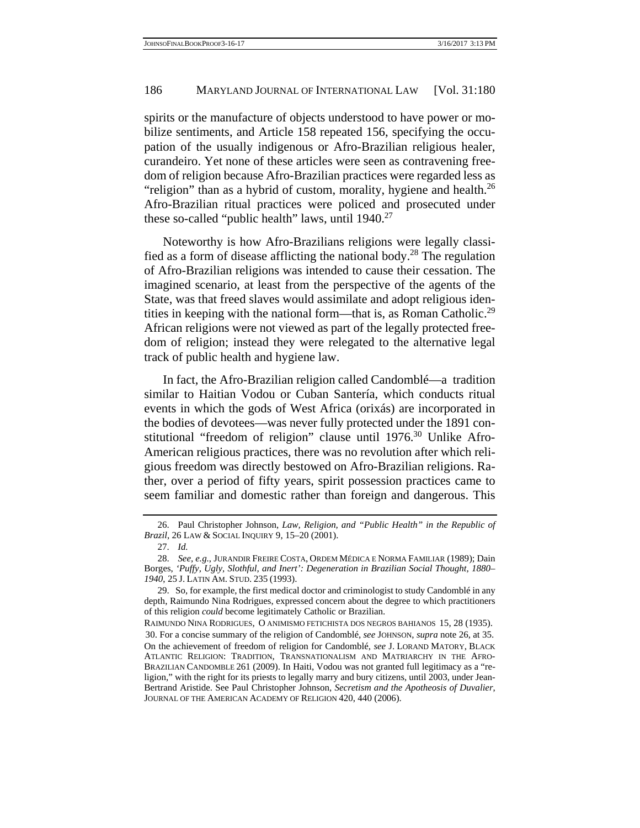spirits or the manufacture of objects understood to have power or mobilize sentiments, and Article 158 repeated 156, specifying the occupation of the usually indigenous or Afro-Brazilian religious healer, curandeiro. Yet none of these articles were seen as contravening freedom of religion because Afro-Brazilian practices were regarded less as "religion" than as a hybrid of custom, morality, hygiene and health. $^{26}$ Afro-Brazilian ritual practices were policed and prosecuted under these so-called "public health" laws, until 1940.<sup>27</sup>

 Noteworthy is how Afro-Brazilians religions were legally classified as a form of disease afflicting the national body.<sup>28</sup> The regulation of Afro-Brazilian religions was intended to cause their cessation. The imagined scenario, at least from the perspective of the agents of the State, was that freed slaves would assimilate and adopt religious identities in keeping with the national form—that is, as Roman Catholic.<sup>29</sup> African religions were not viewed as part of the legally protected freedom of religion; instead they were relegated to the alternative legal track of public health and hygiene law.

 In fact, the Afro-Brazilian religion called Candomblé—a tradition similar to Haitian Vodou or Cuban Santería, which conducts ritual events in which the gods of West Africa (orixás) are incorporated in the bodies of devotees—was never fully protected under the 1891 constitutional "freedom of religion" clause until 1976.<sup>30</sup> Unlike Afro-American religious practices, there was no revolution after which religious freedom was directly bestowed on Afro-Brazilian religions. Rather, over a period of fifty years, spirit possession practices came to seem familiar and domestic rather than foreign and dangerous. This

 <sup>26.</sup> Paul Christopher Johnson, *Law, Religion, and "Public Health" in the Republic of Brazil*, 26 LAW & SOCIAL INQUIRY 9, 15–20 (2001).

 <sup>27.</sup> *Id.*

 <sup>28.</sup> *See, e.g.*, JURANDIR FREIRE COSTA, ORDEM MÉDICA E NORMA FAMILIAR (1989); Dain Borges, *'Puffy, Ugly, Slothful, and Inert': Degeneration in Brazilian Social Thought, 1880– 1940*, 25 J. LATIN AM. STUD. 235 (1993).

 <sup>29.</sup> So, for example, the first medical doctor and criminologist to study Candomblé in any depth, Raimundo Nina Rodrigues, expressed concern about the degree to which practitioners of this religion *could* become legitimately Catholic or Brazilian.

RAIMUNDO NINA RODRIGUES, O ANIMISMO FETICHISTA DOS NEGROS BAHIANOS 15, 28 (1935). 30. For a concise summary of the religion of Candomblé, *see* JOHNSON, *supra* note 26, at 35. On the achievement of freedom of religion for Candomblé, *see* J. LORAND MATORY, BLACK ATLANTIC RELIGION: TRADITION, TRANSNATIONALISM AND MATRIARCHY IN THE AFRO-BRAZILIAN CANDOMBLE 261 (2009). In Haiti, Vodou was not granted full legitimacy as a "religion," with the right for its priests to legally marry and bury citizens, until 2003, under Jean-Bertrand Aristide. See Paul Christopher Johnson, *Secretism and the Apotheosis of Duvalier*, JOURNAL OF THE AMERICAN ACADEMY OF RELIGION 420, 440 (2006).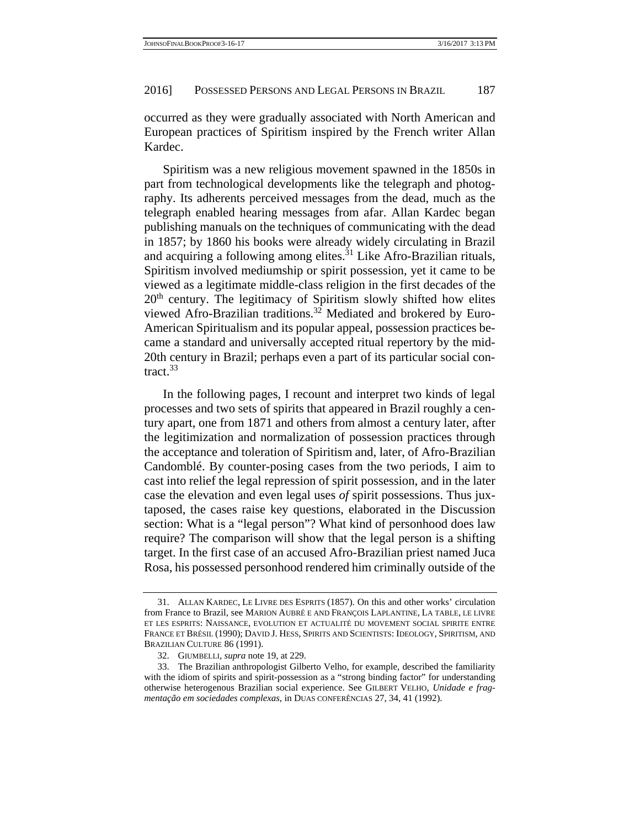occurred as they were gradually associated with North American and European practices of Spiritism inspired by the French writer Allan Kardec.

 Spiritism was a new religious movement spawned in the 1850s in part from technological developments like the telegraph and photography. Its adherents perceived messages from the dead, much as the telegraph enabled hearing messages from afar. Allan Kardec began publishing manuals on the techniques of communicating with the dead in 1857; by 1860 his books were already widely circulating in Brazil and acquiring a following among elites.<sup>31</sup> Like Afro-Brazilian rituals, Spiritism involved mediumship or spirit possession, yet it came to be viewed as a legitimate middle-class religion in the first decades of the  $20<sup>th</sup>$  century. The legitimacy of Spiritism slowly shifted how elites viewed Afro-Brazilian traditions.<sup>32</sup> Mediated and brokered by Euro-American Spiritualism and its popular appeal, possession practices became a standard and universally accepted ritual repertory by the mid-20th century in Brazil; perhaps even a part of its particular social contract.<sup>33</sup>

 In the following pages, I recount and interpret two kinds of legal processes and two sets of spirits that appeared in Brazil roughly a century apart, one from 1871 and others from almost a century later, after the legitimization and normalization of possession practices through the acceptance and toleration of Spiritism and, later, of Afro-Brazilian Candomblé. By counter-posing cases from the two periods, I aim to cast into relief the legal repression of spirit possession, and in the later case the elevation and even legal uses *of* spirit possessions. Thus juxtaposed, the cases raise key questions, elaborated in the Discussion section: What is a "legal person"? What kind of personhood does law require? The comparison will show that the legal person is a shifting target. In the first case of an accused Afro-Brazilian priest named Juca Rosa, his possessed personhood rendered him criminally outside of the

 <sup>31.</sup> ALLAN KARDEC, LE LIVRE DES ESPRITS (1857). On this and other works' circulation from France to Brazil, see MARION AUBRÉ E AND FRANÇOIS LAPLANTINE, LA TABLE, LE LIVRE ET LES ESPRITS: NAISSANCE, EVOLUTION ET ACTUALITÉ DU MOVEMENT SOCIAL SPIRITE ENTRE FRANCE ET BRÉSIL (1990); DAVID J. HESS, SPIRITS AND SCIENTISTS: IDEOLOGY, SPIRITISM, AND BRAZILIAN CULTURE 86 (1991).

 <sup>32.</sup> GIUMBELLI, *supra* note 19, at 229.

 <sup>33.</sup> The Brazilian anthropologist Gilberto Velho, for example, described the familiarity with the idiom of spirits and spirit-possession as a "strong binding factor" for understanding otherwise heterogenous Brazilian social experience. See GILBERT VELHO, *Unidade e fragmentação em sociedades complexas*, in DUAS CONFERÊNCIAS 27, 34, 41 (1992).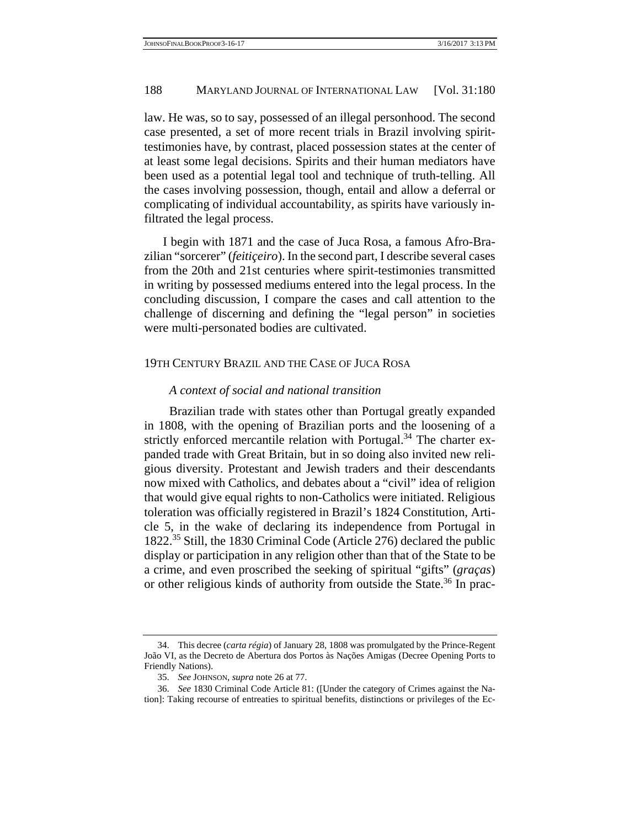law. He was, so to say, possessed of an illegal personhood. The second case presented, a set of more recent trials in Brazil involving spirittestimonies have, by contrast, placed possession states at the center of at least some legal decisions. Spirits and their human mediators have been used as a potential legal tool and technique of truth-telling. All the cases involving possession, though, entail and allow a deferral or complicating of individual accountability, as spirits have variously infiltrated the legal process.

 I begin with 1871 and the case of Juca Rosa, a famous Afro-Brazilian "sorcerer" (*feitiçeiro*). In the second part, I describe several cases from the 20th and 21st centuries where spirit-testimonies transmitted in writing by possessed mediums entered into the legal process. In the concluding discussion, I compare the cases and call attention to the challenge of discerning and defining the "legal person" in societies were multi-personated bodies are cultivated.

## 19TH CENTURY BRAZIL AND THE CASE OF JUCA ROSA

# *A context of social and national transition*

Brazilian trade with states other than Portugal greatly expanded in 1808, with the opening of Brazilian ports and the loosening of a strictly enforced mercantile relation with Portugal.<sup>34</sup> The charter expanded trade with Great Britain, but in so doing also invited new religious diversity. Protestant and Jewish traders and their descendants now mixed with Catholics, and debates about a "civil" idea of religion that would give equal rights to non-Catholics were initiated. Religious toleration was officially registered in Brazil's 1824 Constitution, Article 5, in the wake of declaring its independence from Portugal in 1822.35 Still, the 1830 Criminal Code (Article 276) declared the public display or participation in any religion other than that of the State to be a crime, and even proscribed the seeking of spiritual "gifts" (*graças*) or other religious kinds of authority from outside the State.<sup>36</sup> In prac-

 <sup>34.</sup> This decree (*carta régia*) of January 28, 1808 was promulgated by the Prince-Regent João VI, as the Decreto de Abertura dos Portos às Nações Amigas (Decree Opening Ports to Friendly Nations).

 <sup>35.</sup> *See* JOHNSON, *supra* note 26 at 77.

 <sup>36.</sup> *See* 1830 Criminal Code Article 81: ([Under the category of Crimes against the Nation]: Taking recourse of entreaties to spiritual benefits, distinctions or privileges of the Ec-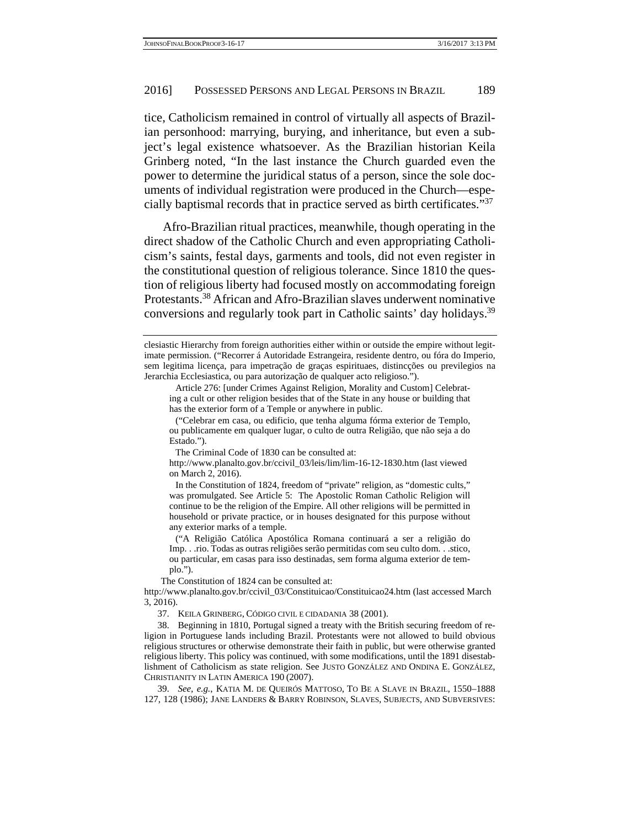tice, Catholicism remained in control of virtually all aspects of Brazilian personhood: marrying, burying, and inheritance, but even a subject's legal existence whatsoever. As the Brazilian historian Keila Grinberg noted, "In the last instance the Church guarded even the power to determine the juridical status of a person, since the sole documents of individual registration were produced in the Church—especially baptismal records that in practice served as birth certificates."37

 Afro-Brazilian ritual practices, meanwhile, though operating in the direct shadow of the Catholic Church and even appropriating Catholicism's saints, festal days, garments and tools, did not even register in the constitutional question of religious tolerance. Since 1810 the question of religious liberty had focused mostly on accommodating foreign Protestants.38 African and Afro-Brazilian slaves underwent nominative conversions and regularly took part in Catholic saints' day holidays.<sup>39</sup>

The Criminal Code of 1830 can be consulted at:

http://www.planalto.gov.br/ccivil\_03/leis/lim/lim-16-12-1830.htm (last viewed on March 2, 2016).

 In the Constitution of 1824, freedom of "private" religion, as "domestic cults," was promulgated. See Article 5: The Apostolic Roman Catholic Religion will continue to be the religion of the Empire. All other religions will be permitted in household or private practice, or in houses designated for this purpose without any exterior marks of a temple.

 ("A Religião Católica Apostólica Romana continuará a ser a religião do Imp. . .rio. Todas as outras religiões serão permitidas com seu culto dom. . .stico, ou particular, em casas para isso destinadas, sem forma alguma exterior de templo.").

The Constitution of 1824 can be consulted at:

37. KEILA GRINBERG, CÓDIGO CIVIL E CIDADANIA 38 (2001).

 39. *See, e.g.*, KATIA M. DE QUEIRÓS MATTOSO, TO BE A SLAVE IN BRAZIL, 1550–1888 127, 128 (1986); JANE LANDERS & BARRY ROBINSON, SLAVES, SUBJECTS, AND SUBVERSIVES:

clesiastic Hierarchy from foreign authorities either within or outside the empire without legitimate permission. ("Recorrer á Autoridade Estrangeira, residente dentro, ou fóra do Imperio, sem legitima licença, para impetração de graças espirituaes, distincções ou previlegios na Jerarchia Ecclesiastica, ou para autorização de qualquer acto religioso.").

Article 276: [under Crimes Against Religion, Morality and Custom] Celebrating a cult or other religion besides that of the State in any house or building that has the exterior form of a Temple or anywhere in public.

 <sup>(&</sup>quot;Celebrar em casa, ou edificio, que tenha alguma fórma exterior de Templo, ou publicamente em qualquer lugar, o culto de outra Religião, que não seja a do Estado.").

http://www.planalto.gov.br/ccivil\_03/Constituicao/Constituicao24.htm (last accessed March 3, 2016).

 <sup>38.</sup> Beginning in 1810, Portugal signed a treaty with the British securing freedom of religion in Portuguese lands including Brazil. Protestants were not allowed to build obvious religious structures or otherwise demonstrate their faith in public, but were otherwise granted religious liberty. This policy was continued, with some modifications, until the 1891 disestablishment of Catholicism as state religion. See JUSTO GONZÁLEZ AND ONDINA E. GONZÁLEZ, CHRISTIANITY IN LATIN AMERICA 190 (2007).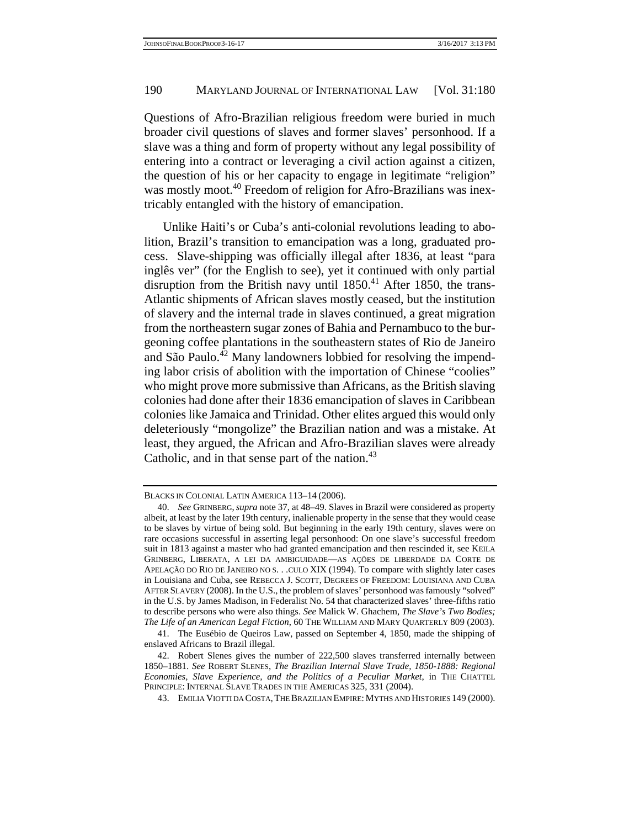Questions of Afro-Brazilian religious freedom were buried in much broader civil questions of slaves and former slaves' personhood. If a slave was a thing and form of property without any legal possibility of entering into a contract or leveraging a civil action against a citizen, the question of his or her capacity to engage in legitimate "religion" was mostly moot.<sup>40</sup> Freedom of religion for Afro-Brazilians was inextricably entangled with the history of emancipation.

 Unlike Haiti's or Cuba's anti-colonial revolutions leading to abolition, Brazil's transition to emancipation was a long, graduated process. Slave-shipping was officially illegal after 1836, at least "para inglês ver" (for the English to see), yet it continued with only partial disruption from the British navy until 1850.<sup>41</sup> After 1850, the trans-Atlantic shipments of African slaves mostly ceased, but the institution of slavery and the internal trade in slaves continued, a great migration from the northeastern sugar zones of Bahia and Pernambuco to the burgeoning coffee plantations in the southeastern states of Rio de Janeiro and São Paulo.<sup>42</sup> Many landowners lobbied for resolving the impending labor crisis of abolition with the importation of Chinese "coolies" who might prove more submissive than Africans, as the British slaving colonies had done after their 1836 emancipation of slaves in Caribbean colonies like Jamaica and Trinidad. Other elites argued this would only deleteriously "mongolize" the Brazilian nation and was a mistake. At least, they argued, the African and Afro-Brazilian slaves were already Catholic, and in that sense part of the nation.<sup>43</sup>

BLACKS IN COLONIAL LATIN AMERICA 113–14 (2006).

 <sup>40.</sup> *See* GRINBERG,*supra* note 37, at 48–49. Slaves in Brazil were considered as property albeit, at least by the later 19th century, inalienable property in the sense that they would cease to be slaves by virtue of being sold. But beginning in the early 19th century, slaves were on rare occasions successful in asserting legal personhood: On one slave's successful freedom suit in 1813 against a master who had granted emancipation and then rescinded it, see KEILA GRINBERG, LIBERATA, A LEI DA AMBIGUIDADE—AS AÇÕES DE LIBERDADE DA CORTE DE APELAÇÃO DO RIO DE JANEIRO NO S. . .CULO XIX (1994). To compare with slightly later cases in Louisiana and Cuba, see REBECCA J. SCOTT, DEGREES OF FREEDOM: LOUISIANA AND CUBA AFTER SLAVERY (2008). In the U.S., the problem of slaves' personhood was famously "solved" in the U.S. by James Madison, in Federalist No. 54 that characterized slaves' three-fifths ratio to describe persons who were also things. *See* Malick W. Ghachem, *The Slave's Two Bodies; The Life of an American Legal Fiction*, 60 THE WILLIAM AND MARY QUARTERLY 809 (2003).

 <sup>41.</sup> The Eusébio de Queiros Law, passed on September 4, 1850, made the shipping of enslaved Africans to Brazil illegal.

 <sup>42.</sup> Robert Slenes gives the number of 222,500 slaves transferred internally between 1850–1881. *See* ROBERT SLENES, *The Brazilian Internal Slave Trade, 1850-1888: Regional Economies, Slave Experience, and the Politics of a Peculiar Market*, in THE CHATTEL PRINCIPLE: INTERNAL SLAVE TRADES IN THE AMERICAS 325, 331 (2004).

 <sup>43.</sup> EMILIA VIOTTI DA COSTA,THE BRAZILIAN EMPIRE: MYTHS AND HISTORIES 149 (2000).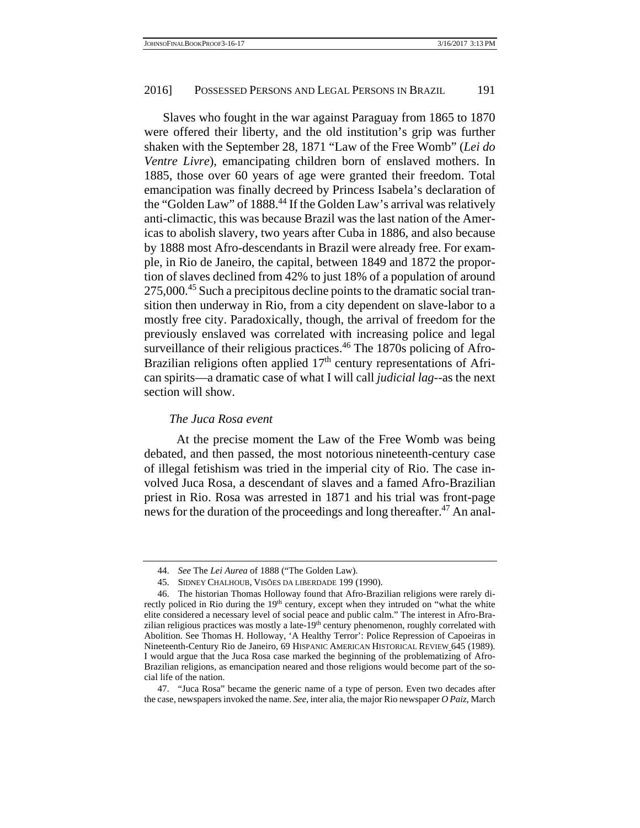Slaves who fought in the war against Paraguay from 1865 to 1870 were offered their liberty, and the old institution's grip was further shaken with the September 28, 1871 "Law of the Free Womb" (*Lei do Ventre Livre*), emancipating children born of enslaved mothers. In 1885, those over 60 years of age were granted their freedom. Total emancipation was finally decreed by Princess Isabela's declaration of the "Golden Law" of 1888.<sup>44</sup> If the Golden Law's arrival was relatively anti-climactic, this was because Brazil was the last nation of the Americas to abolish slavery, two years after Cuba in 1886, and also because by 1888 most Afro-descendants in Brazil were already free. For example, in Rio de Janeiro, the capital, between 1849 and 1872 the proportion of slaves declined from 42% to just 18% of a population of around 275,000.<sup>45</sup> Such a precipitous decline points to the dramatic social transition then underway in Rio, from a city dependent on slave-labor to a mostly free city. Paradoxically, though, the arrival of freedom for the previously enslaved was correlated with increasing police and legal surveillance of their religious practices.<sup>46</sup> The 1870s policing of Afro-Brazilian religions often applied 17<sup>th</sup> century representations of African spirits—a dramatic case of what I will call *judicial lag*--as the next section will show.

# *The Juca Rosa event*

 At the precise moment the Law of the Free Womb was being debated, and then passed, the most notorious nineteenth-century case of illegal fetishism was tried in the imperial city of Rio. The case involved Juca Rosa, a descendant of slaves and a famed Afro-Brazilian priest in Rio. Rosa was arrested in 1871 and his trial was front-page news for the duration of the proceedings and long thereafter.<sup>47</sup> An anal-

 <sup>44.</sup> *See* The *Lei Aurea* of 1888 ("The Golden Law).

 <sup>45.</sup> SIDNEY CHALHOUB, VISÕES DA LIBERDADE 199 (1990).

 <sup>46.</sup> The historian Thomas Holloway found that Afro-Brazilian religions were rarely directly policed in Rio during the 19<sup>th</sup> century, except when they intruded on "what the white elite considered a necessary level of social peace and public calm." The interest in Afro-Brazilian religious practices was mostly a late- $19<sup>th</sup>$  century phenomenon, roughly correlated with Abolition. See Thomas H. Holloway, 'A Healthy Terror': Police Repression of Capoeiras in Nineteenth-Century Rio de Janeiro, 69 HISPANIC AMERICAN HISTORICAL REVIEW 645 (1989). I would argue that the Juca Rosa case marked the beginning of the problematizing of Afro-Brazilian religions, as emancipation neared and those religions would become part of the social life of the nation.

 <sup>47. &</sup>quot;Juca Rosa" became the generic name of a type of person. Even two decades after the case, newspapers invoked the name. *See*, inter alia, the major Rio newspaper *O Paiz*, March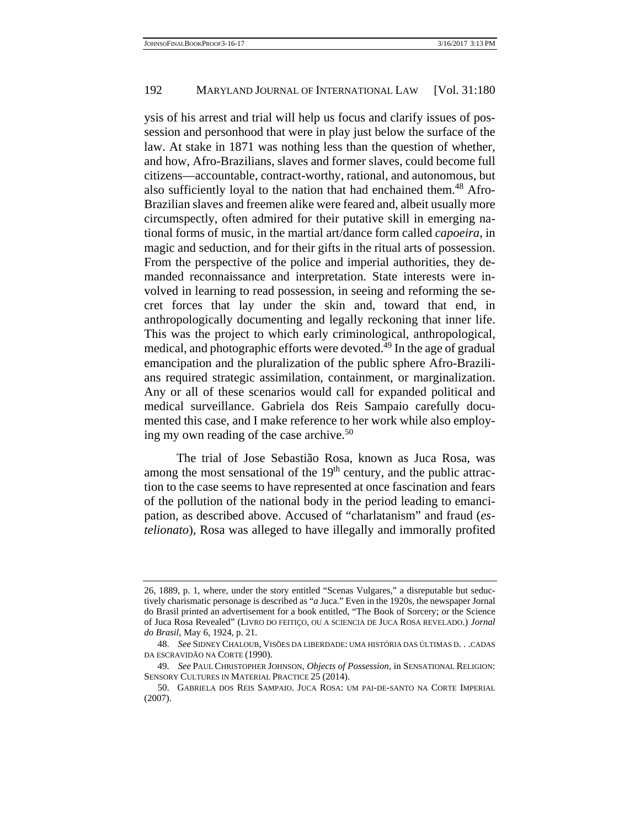ysis of his arrest and trial will help us focus and clarify issues of possession and personhood that were in play just below the surface of the law. At stake in 1871 was nothing less than the question of whether, and how, Afro-Brazilians, slaves and former slaves, could become full citizens—accountable, contract-worthy, rational, and autonomous, but also sufficiently loyal to the nation that had enchained them.<sup>48</sup> Afro-Brazilian slaves and freemen alike were feared and, albeit usually more circumspectly, often admired for their putative skill in emerging national forms of music, in the martial art/dance form called *capoeira*, in magic and seduction, and for their gifts in the ritual arts of possession. From the perspective of the police and imperial authorities, they demanded reconnaissance and interpretation. State interests were involved in learning to read possession, in seeing and reforming the secret forces that lay under the skin and, toward that end, in anthropologically documenting and legally reckoning that inner life. This was the project to which early criminological, anthropological, medical, and photographic efforts were devoted.<sup>49</sup> In the age of gradual emancipation and the pluralization of the public sphere Afro-Brazilians required strategic assimilation, containment, or marginalization. Any or all of these scenarios would call for expanded political and medical surveillance. Gabriela dos Reis Sampaio carefully documented this case, and I make reference to her work while also employing my own reading of the case archive.<sup>50</sup>

 The trial of Jose Sebastião Rosa, known as Juca Rosa, was among the most sensational of the  $19<sup>th</sup>$  century, and the public attraction to the case seems to have represented at once fascination and fears of the pollution of the national body in the period leading to emancipation, as described above. Accused of "charlatanism" and fraud (*estelionato*), Rosa was alleged to have illegally and immorally profited

<sup>26, 1889,</sup> p. 1, where, under the story entitled "Scenas Vulgares," a disreputable but seductively charismatic personage is described as "*a* Juca." Even in the 1920s, the newspaper Jornal do Brasil printed an advertisement for a book entitled, "The Book of Sorcery; or the Science of Juca Rosa Revealed" (LIVRO DO FEITIÇO, OU A SCIENCIA DE JUCA ROSA REVELADO.) *Jornal do Brasil*, May 6, 1924, p. 21.

 <sup>48.</sup> *See* SIDNEY CHALOUB, VISÕES DA LIBERDADE: UMA HISTÓRIA DAS ÚLTIMAS D. . .CADAS DA ESCRAVIDÃO NA CORTE (1990).

 <sup>49.</sup> *See* PAUL CHRISTOPHER JOHNSON, *Objects of Possession*, in SENSATIONAL RELIGION: SENSORY CULTURES IN MATERIAL PRACTICE 25 (2014).

 <sup>50.</sup> GABRIELA DOS REIS SAMPAIO. JUCA ROSA: UM PAI-DE-SANTO NA CORTE IMPERIAL (2007).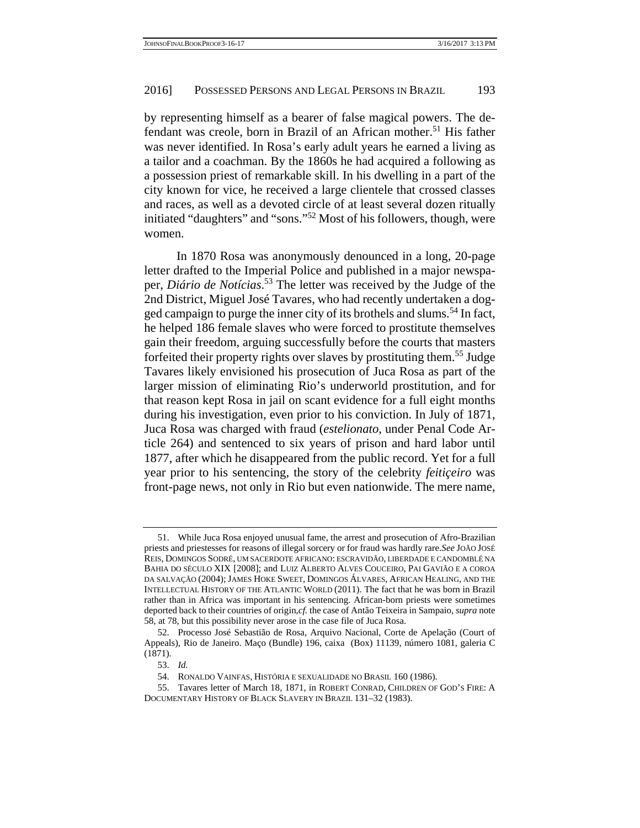by representing himself as a bearer of false magical powers. The defendant was creole, born in Brazil of an African mother.<sup>51</sup> His father was never identified. In Rosa's early adult years he earned a living as a tailor and a coachman. By the 1860s he had acquired a following as a possession priest of remarkable skill. In his dwelling in a part of the city known for vice, he received a large clientele that crossed classes and races, as well as a devoted circle of at least several dozen ritually initiated "daughters" and "sons."52 Most of his followers, though, were women.

 In 1870 Rosa was anonymously denounced in a long, 20-page letter drafted to the Imperial Police and published in a major newspaper, *Diário de Notícias*. 53 The letter was received by the Judge of the 2nd District, Miguel José Tavares, who had recently undertaken a dogged campaign to purge the inner city of its brothels and slums.<sup>54</sup> In fact, he helped 186 female slaves who were forced to prostitute themselves gain their freedom, arguing successfully before the courts that masters forfeited their property rights over slaves by prostituting them.55 Judge Tavares likely envisioned his prosecution of Juca Rosa as part of the larger mission of eliminating Rio's underworld prostitution, and for that reason kept Rosa in jail on scant evidence for a full eight months during his investigation, even prior to his conviction. In July of 1871, Juca Rosa was charged with fraud (*estelionato*, under Penal Code Article 264) and sentenced to six years of prison and hard labor until 1877, after which he disappeared from the public record. Yet for a full year prior to his sentencing, the story of the celebrity *feitiçeiro* was front-page news, not only in Rio but even nationwide. The mere name,

 <sup>51.</sup> While Juca Rosa enjoyed unusual fame, the arrest and prosecution of Afro-Brazilian priests and priestesses for reasons of illegal sorcery or for fraud was hardly rare.*See* JOÃO JOSÉ REIS, DOMINGOS SODRÉ, UM SACERDOTE AFRICANO: ESCRAVIDÃO, LIBERDADE E CANDOMBLÉ NA BAHIA DO SÉCULO XIX [2008]; and LUIZ ALBERTO ALVES COUCEIRO, PAI GAVIÃO E A COROA DA SALVAÇÃO (2004); JAMES HOKE SWEET, DOMINGOS ÁLVARES, AFRICAN HEALING, AND THE INTELLECTUAL HISTORY OF THE ATLANTIC WORLD (2011). The fact that he was born in Brazil rather than in Africa was important in his sentencing. African-born priests were sometimes deported back to their countries of origin,*cf.* the case of Antão Teixeira in Sampaio, *supra* note 58, at 78, but this possibility never arose in the case file of Juca Rosa.

 <sup>52.</sup> Processo José Sebastião de Rosa, Arquivo Nacional, Corte de Apelação (Court of Appeals), Rio de Janeiro. Maço (Bundle) 196, caixa (Box) 11139, número 1081, galeria C (1871).

 <sup>53.</sup> *Id.*

 <sup>54.</sup> RONALDO VAINFAS, HISTÓRIA E SEXUALIDADE NO BRASIL 160 (1986).

 <sup>55.</sup> Tavares letter of March 18, 1871, in ROBERT CONRAD, CHILDREN OF GOD'S FIRE: A DOCUMENTARY HISTORY OF BLACK SLAVERY IN BRAZIL 131–32 (1983).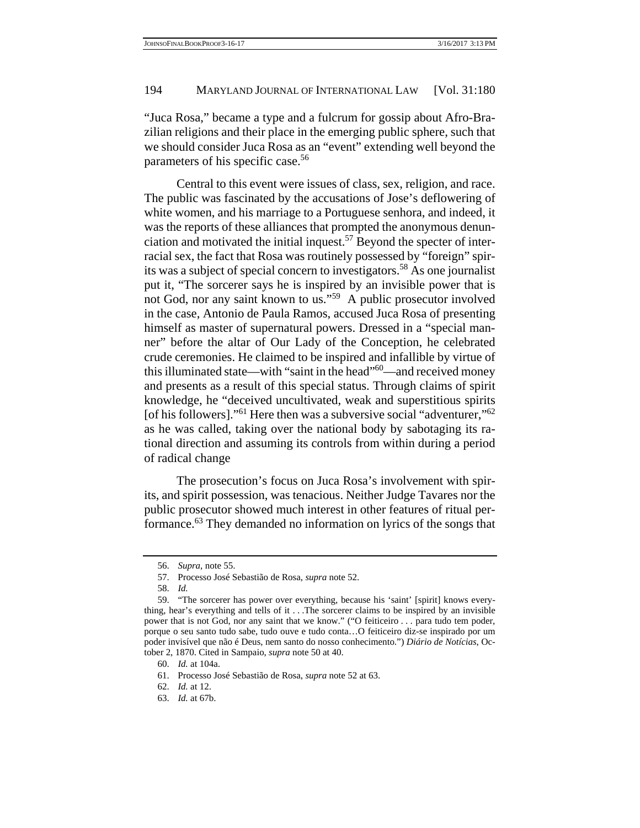"Juca Rosa," became a type and a fulcrum for gossip about Afro-Brazilian religions and their place in the emerging public sphere, such that we should consider Juca Rosa as an "event" extending well beyond the parameters of his specific case.<sup>56</sup>

 Central to this event were issues of class, sex, religion, and race. The public was fascinated by the accusations of Jose's deflowering of white women, and his marriage to a Portuguese senhora, and indeed, it was the reports of these alliances that prompted the anonymous denunciation and motivated the initial inquest.<sup>57</sup> Beyond the specter of interracial sex, the fact that Rosa was routinely possessed by "foreign" spirits was a subject of special concern to investigators.<sup>58</sup> As one journalist put it, "The sorcerer says he is inspired by an invisible power that is not God, nor any saint known to us."59 A public prosecutor involved in the case, Antonio de Paula Ramos, accused Juca Rosa of presenting himself as master of supernatural powers. Dressed in a "special manner" before the altar of Our Lady of the Conception, he celebrated crude ceremonies. He claimed to be inspired and infallible by virtue of this illuminated state—with "saint in the head"60—and received money and presents as a result of this special status. Through claims of spirit knowledge, he "deceived uncultivated, weak and superstitious spirits [of his followers]."<sup>61</sup> Here then was a subversive social "adventurer,"<sup>62</sup> as he was called, taking over the national body by sabotaging its rational direction and assuming its controls from within during a period of radical change

 The prosecution's focus on Juca Rosa's involvement with spirits, and spirit possession, was tenacious. Neither Judge Tavares nor the public prosecutor showed much interest in other features of ritual performance.63 They demanded no information on lyrics of the songs that

 <sup>56.</sup> *Supra*, note 55.

 <sup>57.</sup> Processo José Sebastião de Rosa, *supra* note 52.

 <sup>58.</sup> *Id.*

 <sup>59. &</sup>quot;The sorcerer has power over everything, because his 'saint' [spirit] knows everything, hear's everything and tells of it . . .The sorcerer claims to be inspired by an invisible power that is not God, nor any saint that we know." ("O feiticeiro . . . para tudo tem poder, porque o seu santo tudo sabe, tudo ouve e tudo conta…O feiticeiro diz-se inspirado por um poder invisível que não é Deus, nem santo do nosso conhecimento.") *Diário de Notícias*, October 2, 1870. Cited in Sampaio, *supra* note 50 at 40.

 <sup>60.</sup> *Id.* at 104a.

 <sup>61.</sup> Processo José Sebastião de Rosa, *supra* note 52 at 63.

 <sup>62.</sup> *Id.* at 12.

 <sup>63.</sup> *Id.* at 67b.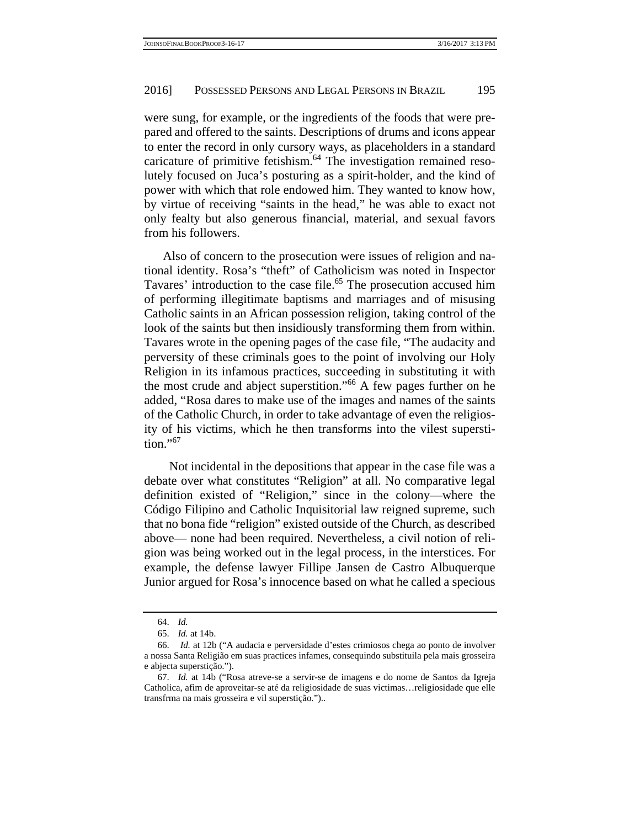were sung, for example, or the ingredients of the foods that were prepared and offered to the saints. Descriptions of drums and icons appear to enter the record in only cursory ways, as placeholders in a standard caricature of primitive fetishism.64 The investigation remained resolutely focused on Juca's posturing as a spirit-holder, and the kind of power with which that role endowed him. They wanted to know how, by virtue of receiving "saints in the head," he was able to exact not only fealty but also generous financial, material, and sexual favors from his followers.

 Also of concern to the prosecution were issues of religion and national identity. Rosa's "theft" of Catholicism was noted in Inspector Tavares' introduction to the case file.<sup>65</sup> The prosecution accused him of performing illegitimate baptisms and marriages and of misusing Catholic saints in an African possession religion, taking control of the look of the saints but then insidiously transforming them from within. Tavares wrote in the opening pages of the case file, "The audacity and perversity of these criminals goes to the point of involving our Holy Religion in its infamous practices, succeeding in substituting it with the most crude and abject superstition."66 A few pages further on he added, "Rosa dares to make use of the images and names of the saints of the Catholic Church, in order to take advantage of even the religiosity of his victims, which he then transforms into the vilest superstition."<sup>67</sup>

Not incidental in the depositions that appear in the case file was a debate over what constitutes "Religion" at all. No comparative legal definition existed of "Religion," since in the colony—where the Código Filipino and Catholic Inquisitorial law reigned supreme, such that no bona fide "religion" existed outside of the Church, as described above— none had been required. Nevertheless, a civil notion of religion was being worked out in the legal process, in the interstices. For example, the defense lawyer Fillipe Jansen de Castro Albuquerque Junior argued for Rosa's innocence based on what he called a specious

 <sup>64.</sup> *Id.*

 <sup>65.</sup> *Id.* at 14b.

 <sup>66.</sup> *Id.* at 12b ("A audacia e perversidade d'estes crimiosos chega ao ponto de involver a nossa Santa Religião em suas practices infames, consequindo substituila pela mais grosseira e abjecta superstição.").

 <sup>67.</sup> *Id.* at 14b ("Rosa atreve-se a servir-se de imagens e do nome de Santos da Igreja Catholica, afim de aproveitar-se até da religiosidade de suas victimas…religiosidade que elle transfrma na mais grosseira e vil superstição.")..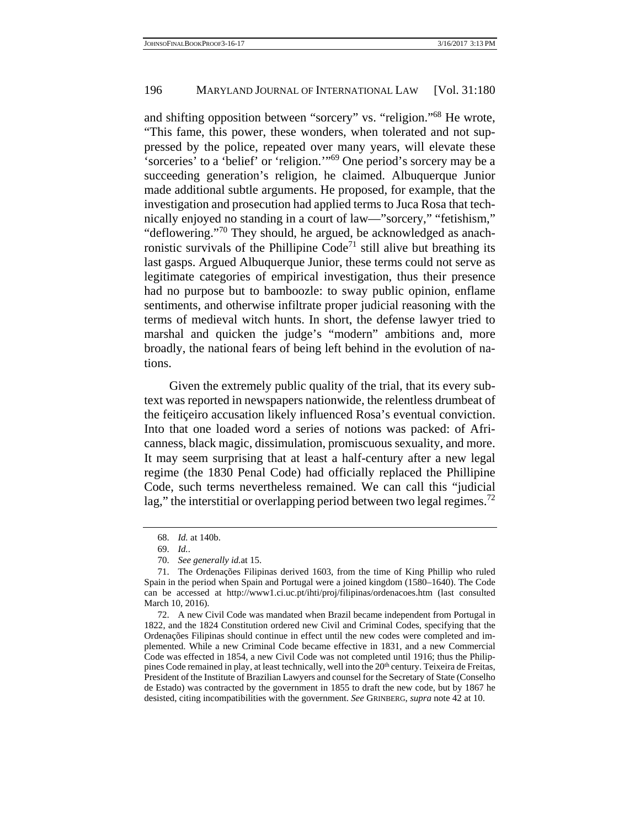and shifting opposition between "sorcery" vs. "religion."68 He wrote, "This fame, this power, these wonders, when tolerated and not suppressed by the police, repeated over many years, will elevate these 'sorceries' to a 'belief' or 'religion.'"69 One period's sorcery may be a succeeding generation's religion, he claimed. Albuquerque Junior made additional subtle arguments. He proposed, for example, that the investigation and prosecution had applied terms to Juca Rosa that technically enjoyed no standing in a court of law—"sorcery," "fetishism," "deflowering."<sup>70</sup> They should, he argued, be acknowledged as anachronistic survivals of the Phillipine Code<sup> $71$ </sup> still alive but breathing its last gasps. Argued Albuquerque Junior, these terms could not serve as legitimate categories of empirical investigation, thus their presence had no purpose but to bamboozle: to sway public opinion, enflame sentiments, and otherwise infiltrate proper judicial reasoning with the terms of medieval witch hunts. In short, the defense lawyer tried to marshal and quicken the judge's "modern" ambitions and, more broadly, the national fears of being left behind in the evolution of nations.

Given the extremely public quality of the trial, that its every subtext was reported in newspapers nationwide, the relentless drumbeat of the feitiçeiro accusation likely influenced Rosa's eventual conviction. Into that one loaded word a series of notions was packed: of Africanness, black magic, dissimulation, promiscuous sexuality, and more. It may seem surprising that at least a half-century after a new legal regime (the 1830 Penal Code) had officially replaced the Phillipine Code, such terms nevertheless remained. We can call this "judicial lag," the interstitial or overlapping period between two legal regimes.<sup>72</sup>

 <sup>68.</sup> *Id.* at 140b.

 <sup>69.</sup> *Id.*.

 <sup>70.</sup> *See generally id.*at 15.

 <sup>71.</sup> The Ordenações Filipinas derived 1603, from the time of King Phillip who ruled Spain in the period when Spain and Portugal were a joined kingdom (1580–1640). The Code can be accessed at http://www1.ci.uc.pt/ihti/proj/filipinas/ordenacoes.htm (last consulted March 10, 2016).

 <sup>72.</sup> A new Civil Code was mandated when Brazil became independent from Portugal in 1822, and the 1824 Constitution ordered new Civil and Criminal Codes, specifying that the Ordenações Filipinas should continue in effect until the new codes were completed and implemented. While a new Criminal Code became effective in 1831, and a new Commercial Code was effected in 1854, a new Civil Code was not completed until 1916; thus the Philippines Code remained in play, at least technically, well into the 20<sup>th</sup> century. Teixeira de Freitas, President of the Institute of Brazilian Lawyers and counsel for the Secretary of State (Conselho de Estado) was contracted by the government in 1855 to draft the new code, but by 1867 he desisted, citing incompatibilities with the government. *See* GRINBERG, *supra* note 42 at 10.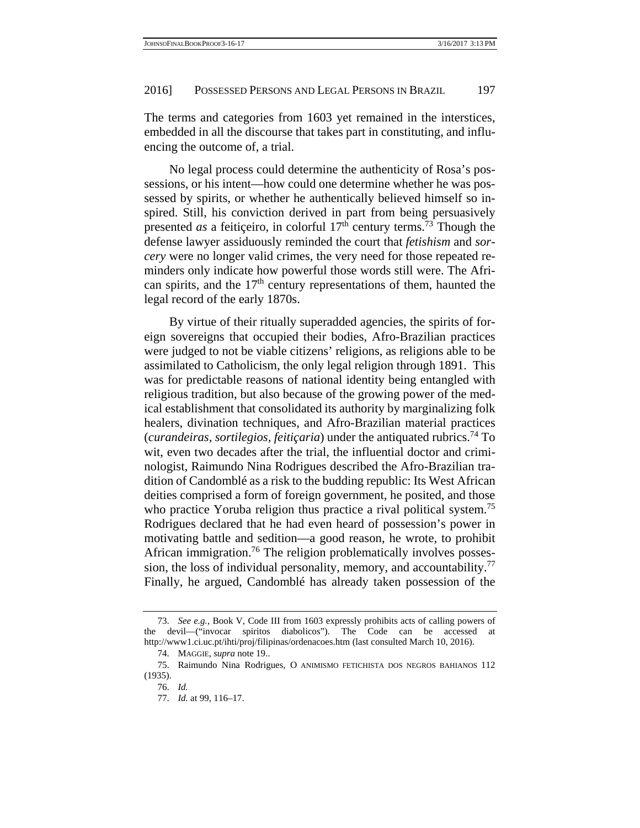The terms and categories from 1603 yet remained in the interstices, embedded in all the discourse that takes part in constituting, and influencing the outcome of, a trial.

No legal process could determine the authenticity of Rosa's possessions, or his intent—how could one determine whether he was possessed by spirits, or whether he authentically believed himself so inspired. Still, his conviction derived in part from being persuasively presented *as* a feiticeiro, in colorful  $17<sup>th</sup>$  century terms.<sup>73</sup> Though the defense lawyer assiduously reminded the court that *fetishism* and *sorcery* were no longer valid crimes, the very need for those repeated reminders only indicate how powerful those words still were. The African spirits, and the  $17<sup>th</sup>$  century representations of them, haunted the legal record of the early 1870s.

By virtue of their ritually superadded agencies, the spirits of foreign sovereigns that occupied their bodies, Afro-Brazilian practices were judged to not be viable citizens' religions, as religions able to be assimilated to Catholicism, the only legal religion through 1891. This was for predictable reasons of national identity being entangled with religious tradition, but also because of the growing power of the medical establishment that consolidated its authority by marginalizing folk healers, divination techniques, and Afro-Brazilian material practices (*curandeiras, sortilegios, feitiçaria*) under the antiquated rubrics.74 To wit, even two decades after the trial, the influential doctor and criminologist, Raimundo Nina Rodrigues described the Afro-Brazilian tradition of Candomblé as a risk to the budding republic: Its West African deities comprised a form of foreign government, he posited, and those who practice Yoruba religion thus practice a rival political system.<sup>75</sup> Rodrigues declared that he had even heard of possession's power in motivating battle and sedition—a good reason, he wrote, to prohibit African immigration.<sup>76</sup> The religion problematically involves possession, the loss of individual personality, memory, and accountability.<sup>77</sup> Finally, he argued, Candomblé has already taken possession of the

 <sup>73.</sup> *See e.g.*, Book V, Code III from 1603 expressly prohibits acts of calling powers of the devil—("invocar spiritos diabolicos"). The Code can be accessed at http://www1.ci.uc.pt/ihti/proj/filipinas/ordenacoes.htm (last consulted March 10, 2016).

 <sup>74.</sup> MAGGIE, *supra* note 19..

 <sup>75.</sup> Raimundo Nina Rodrigues, O ANIMISMO FETICHISTA DOS NEGROS BAHIANOS 112 (1935).

 <sup>76.</sup> *Id.*

 <sup>77.</sup> *Id.* at 99, 116–17.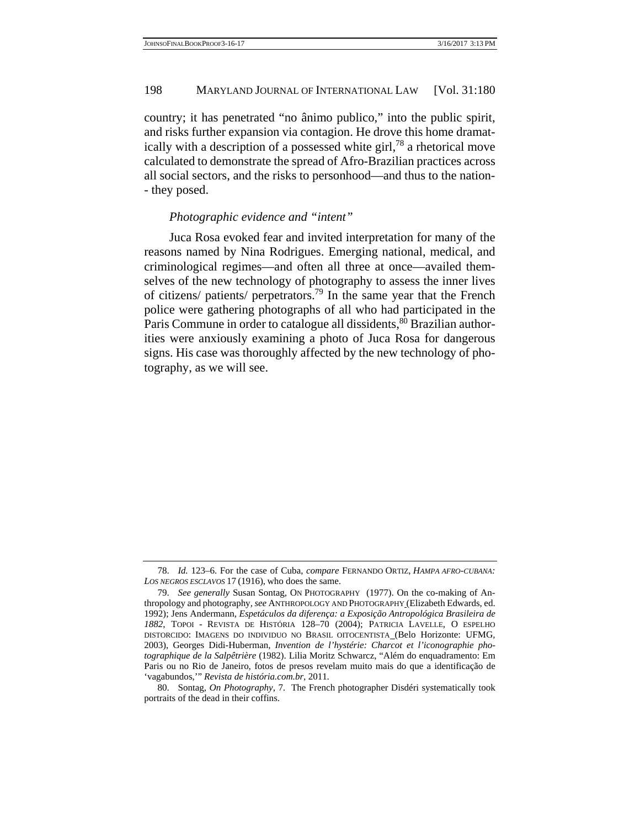country; it has penetrated "no ânimo publico," into the public spirit, and risks further expansion via contagion. He drove this home dramatically with a description of a possessed white girl,  $78$  a rhetorical move calculated to demonstrate the spread of Afro-Brazilian practices across all social sectors, and the risks to personhood—and thus to the nation- - they posed.

#### *Photographic evidence and "intent"*

Juca Rosa evoked fear and invited interpretation for many of the reasons named by Nina Rodrigues. Emerging national, medical, and criminological regimes—and often all three at once—availed themselves of the new technology of photography to assess the inner lives of citizens/ patients/ perpetrators.79 In the same year that the French police were gathering photographs of all who had participated in the Paris Commune in order to catalogue all dissidents,<sup>80</sup> Brazilian authorities were anxiously examining a photo of Juca Rosa for dangerous signs. His case was thoroughly affected by the new technology of photography, as we will see.

 <sup>78.</sup> *Id.* 123–6. For the case of Cuba, *compare* FERNANDO ORTIZ, *HAMPA AFRO-CUBANA: LOS NEGROS ESCLAVOS* 17 (1916), who does the same.

 <sup>79.</sup> *See generally* Susan Sontag, ON PHOTOGRAPHY (1977). On the co-making of Anthropology and photography*, see* ANTHROPOLOGY AND PHOTOGRAPHY (Elizabeth Edwards, ed. 1992); Jens Andermann, *Espetáculos da diferença: a Exposição Antropológica Brasileira de 1882*, TOPOI - REVISTA DE HISTÓRIA 128–70 (2004); PATRICIA LAVELLE, O ESPELHO DISTORCIDO: IMAGENS DO INDIVIDUO NO BRASIL OITOCENTISTA (Belo Horizonte: UFMG, 2003), Georges Didi-Huberman, *Invention de l'hystérie: Charcot et l'iconographie photographique de la Salpêtrière* (1982). Lilia Moritz Schwarcz, "Além do enquadramento: Em Paris ou no Rio de Janeiro, fotos de presos revelam muito mais do que a identificação de 'vagabundos,'" *Revista de história.com.br,* 2011.

 <sup>80.</sup> Sontag, *On Photography*, 7. The French photographer Disdéri systematically took portraits of the dead in their coffins.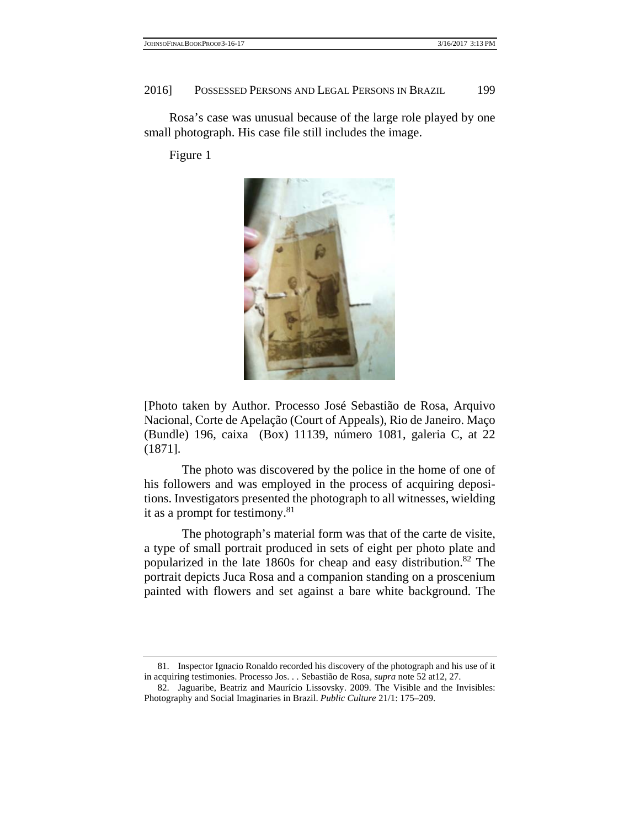Rosa's case was unusual because of the large role played by one small photograph. His case file still includes the image.

Figure 1



[Photo taken by Author. Processo José Sebastião de Rosa, Arquivo Nacional, Corte de Apelação (Court of Appeals), Rio de Janeiro. Maço (Bundle) 196, caixa (Box) 11139, número 1081, galeria C, at 22 (1871].

 The photo was discovered by the police in the home of one of his followers and was employed in the process of acquiring depositions. Investigators presented the photograph to all witnesses, wielding it as a prompt for testimony. $81$ 

 The photograph's material form was that of the carte de visite, a type of small portrait produced in sets of eight per photo plate and popularized in the late 1860s for cheap and easy distribution.82 The portrait depicts Juca Rosa and a companion standing on a proscenium painted with flowers and set against a bare white background. The

 <sup>81.</sup> Inspector Ignacio Ronaldo recorded his discovery of the photograph and his use of it in acquiring testimonies. Processo Jos. . . Sebastião de Rosa, *supra* note 52 at12, 27.

 <sup>82.</sup> Jaguaribe, Beatriz and Maurício Lissovsky. 2009. The Visible and the Invisibles: Photography and Social Imaginaries in Brazil. *Public Culture* 21/1: 175–209.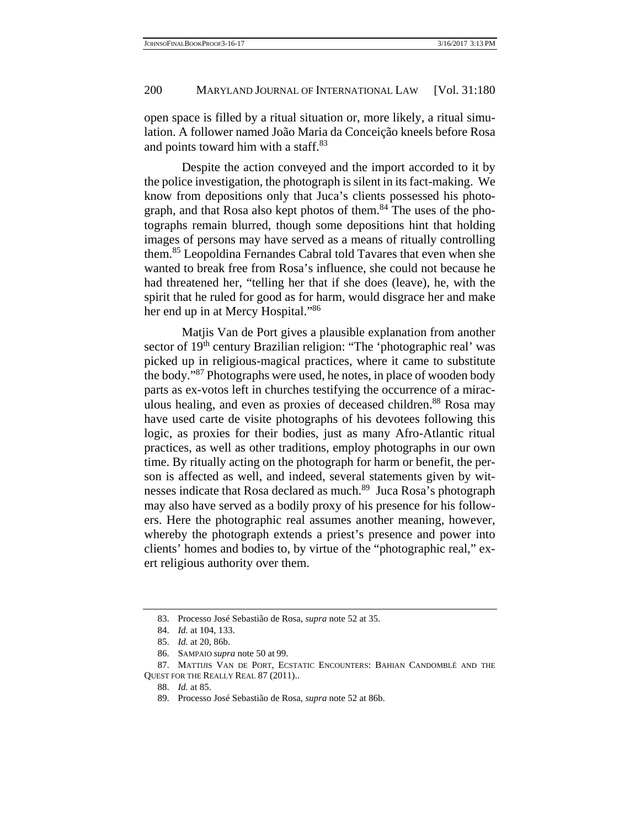open space is filled by a ritual situation or, more likely, a ritual simulation. A follower named João Maria da Conceição kneels before Rosa and points toward him with a staff.<sup>83</sup>

 Despite the action conveyed and the import accorded to it by the police investigation, the photograph is silent in its fact-making. We know from depositions only that Juca's clients possessed his photograph, and that Rosa also kept photos of them.<sup>84</sup> The uses of the photographs remain blurred, though some depositions hint that holding images of persons may have served as a means of ritually controlling them.85 Leopoldina Fernandes Cabral told Tavares that even when she wanted to break free from Rosa's influence, she could not because he had threatened her, "telling her that if she does (leave), he, with the spirit that he ruled for good as for harm, would disgrace her and make her end up in at Mercy Hospital."86

 Matjis Van de Port gives a plausible explanation from another sector of 19<sup>th</sup> century Brazilian religion: "The 'photographic real' was picked up in religious-magical practices, where it came to substitute the body."87 Photographs were used, he notes, in place of wooden body parts as ex-votos left in churches testifying the occurrence of a miraculous healing, and even as proxies of deceased children.<sup>88</sup> Rosa may have used carte de visite photographs of his devotees following this logic, as proxies for their bodies, just as many Afro-Atlantic ritual practices, as well as other traditions, employ photographs in our own time. By ritually acting on the photograph for harm or benefit, the person is affected as well, and indeed, several statements given by witnesses indicate that Rosa declared as much.89 Juca Rosa's photograph may also have served as a bodily proxy of his presence for his followers. Here the photographic real assumes another meaning, however, whereby the photograph extends a priest's presence and power into clients' homes and bodies to, by virtue of the "photographic real," exert religious authority over them.

 <sup>83.</sup> Processo José Sebastião de Rosa, *supra* note 52 at 35.

 <sup>84.</sup> *Id.* at 104, 133.

 <sup>85.</sup> *Id.* at 20, 86b.

 <sup>86.</sup> SAMPAIO *supra* note 50 at 99.

 <sup>87.</sup> MATTIJIS VAN DE PORT, ECSTATIC ENCOUNTERS: BAHIAN CANDOMBLÉ AND THE QUEST FOR THE REALLY REAL 87 (2011)..

 <sup>88.</sup> *Id.* at 85.

 <sup>89.</sup> Processo José Sebastião de Rosa, *supra* note 52 at 86b.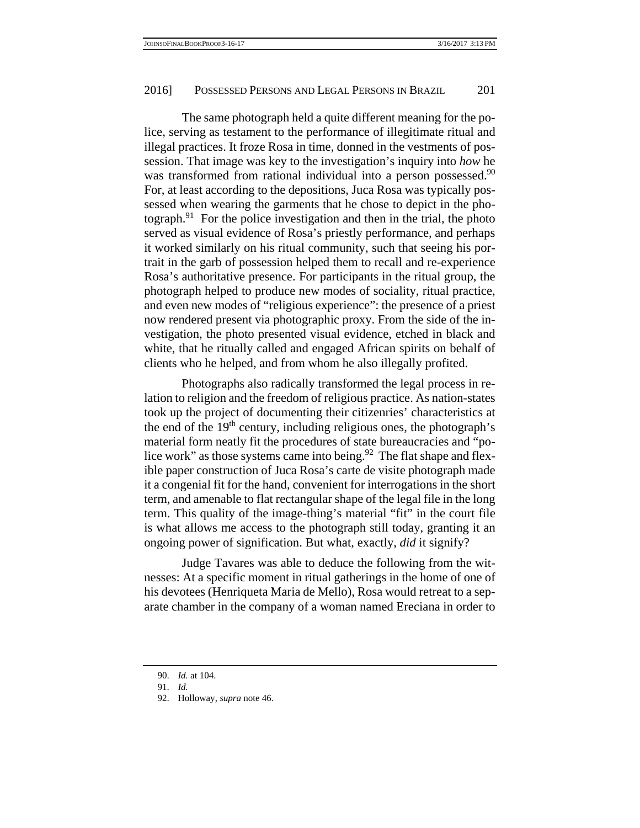The same photograph held a quite different meaning for the police, serving as testament to the performance of illegitimate ritual and illegal practices. It froze Rosa in time, donned in the vestments of possession. That image was key to the investigation's inquiry into *how* he was transformed from rational individual into a person possessed.<sup>90</sup> For, at least according to the depositions, Juca Rosa was typically possessed when wearing the garments that he chose to depict in the photograph. $91$  For the police investigation and then in the trial, the photo served as visual evidence of Rosa's priestly performance, and perhaps it worked similarly on his ritual community, such that seeing his portrait in the garb of possession helped them to recall and re-experience Rosa's authoritative presence. For participants in the ritual group, the photograph helped to produce new modes of sociality, ritual practice, and even new modes of "religious experience": the presence of a priest now rendered present via photographic proxy. From the side of the investigation, the photo presented visual evidence, etched in black and white, that he ritually called and engaged African spirits on behalf of clients who he helped, and from whom he also illegally profited.

 Photographs also radically transformed the legal process in relation to religion and the freedom of religious practice. As nation-states took up the project of documenting their citizenries' characteristics at the end of the  $19<sup>th</sup>$  century, including religious ones, the photograph's material form neatly fit the procedures of state bureaucracies and "police work" as those systems came into being. $92$  The flat shape and flexible paper construction of Juca Rosa's carte de visite photograph made it a congenial fit for the hand, convenient for interrogations in the short term, and amenable to flat rectangular shape of the legal file in the long term. This quality of the image-thing's material "fit" in the court file is what allows me access to the photograph still today, granting it an ongoing power of signification. But what, exactly, *did* it signify?

 Judge Tavares was able to deduce the following from the witnesses: At a specific moment in ritual gatherings in the home of one of his devotees (Henriqueta Maria de Mello), Rosa would retreat to a separate chamber in the company of a woman named Ereciana in order to

 <sup>90.</sup> *Id.* at 104.

 <sup>91.</sup> *Id.*

 <sup>92.</sup> Holloway, *supra* note 46.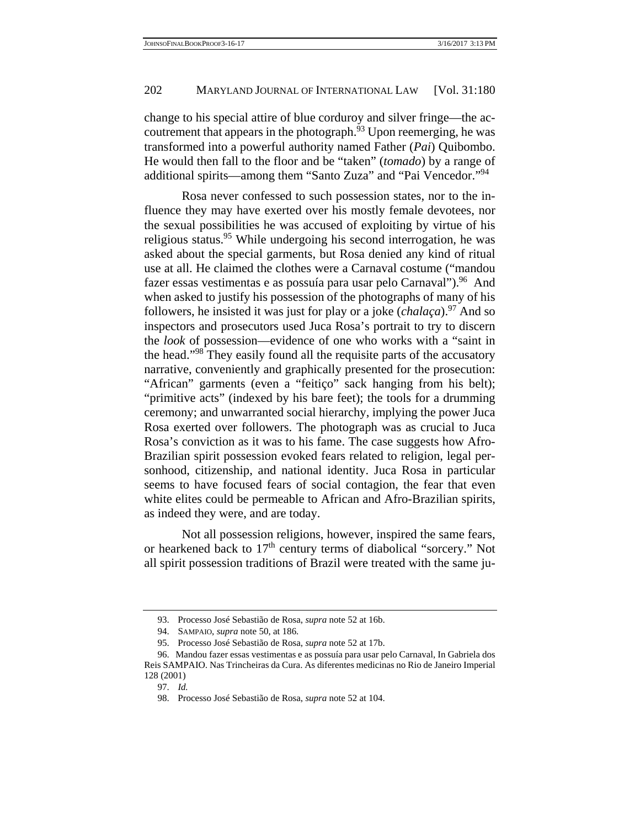change to his special attire of blue corduroy and silver fringe—the accoutrement that appears in the photograph. $93$  Upon reemerging, he was transformed into a powerful authority named Father (*Pai*) Quibombo. He would then fall to the floor and be "taken" (*tomado*) by a range of additional spirits—among them "Santo Zuza" and "Pai Vencedor."<sup>94</sup>

 Rosa never confessed to such possession states, nor to the influence they may have exerted over his mostly female devotees, nor the sexual possibilities he was accused of exploiting by virtue of his religious status.<sup>95</sup> While undergoing his second interrogation, he was asked about the special garments, but Rosa denied any kind of ritual use at all. He claimed the clothes were a Carnaval costume ("mandou fazer essas vestimentas e as possuía para usar pelo Carnaval").<sup>96</sup> And when asked to justify his possession of the photographs of many of his followers, he insisted it was just for play or a joke (*chalaça*).97 And so inspectors and prosecutors used Juca Rosa's portrait to try to discern the *look* of possession—evidence of one who works with a "saint in the head."98 They easily found all the requisite parts of the accusatory narrative, conveniently and graphically presented for the prosecution: "African" garments (even a "feitiço" sack hanging from his belt); "primitive acts" (indexed by his bare feet); the tools for a drumming ceremony; and unwarranted social hierarchy, implying the power Juca Rosa exerted over followers. The photograph was as crucial to Juca Rosa's conviction as it was to his fame. The case suggests how Afro-Brazilian spirit possession evoked fears related to religion, legal personhood, citizenship, and national identity. Juca Rosa in particular seems to have focused fears of social contagion, the fear that even white elites could be permeable to African and Afro-Brazilian spirits, as indeed they were, and are today.

 Not all possession religions, however, inspired the same fears, or hearkened back to  $17<sup>th</sup>$  century terms of diabolical "sorcery." Not all spirit possession traditions of Brazil were treated with the same ju-

 <sup>93.</sup> Processo José Sebastião de Rosa, *supra* note 52 at 16b.

 <sup>94.</sup> SAMPAIO, *supra* note 50, at 186.

 <sup>95.</sup> Processo José Sebastião de Rosa, *supra* note 52 at 17b.

 <sup>96.</sup> Mandou fazer essas vestimentas e as possuía para usar pelo Carnaval, In Gabriela dos Reis SAMPAIO. Nas Trincheiras da Cura. As diferentes medicinas no Rio de Janeiro Imperial 128 (2001)

 <sup>97.</sup> *Id.*

 <sup>98.</sup> Processo José Sebastião de Rosa, *supra* note 52 at 104.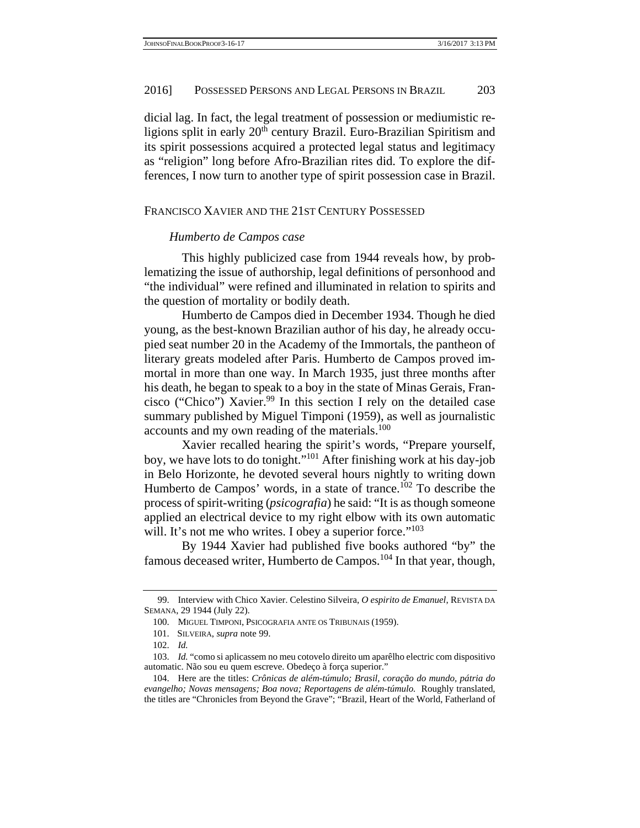dicial lag. In fact, the legal treatment of possession or mediumistic religions split in early 20<sup>th</sup> century Brazil. Euro-Brazilian Spiritism and its spirit possessions acquired a protected legal status and legitimacy as "religion" long before Afro-Brazilian rites did. To explore the differences, I now turn to another type of spirit possession case in Brazil.

#### FRANCISCO XAVIER AND THE 21ST CENTURY POSSESSED

## *Humberto de Campos case*

 This highly publicized case from 1944 reveals how, by problematizing the issue of authorship, legal definitions of personhood and "the individual" were refined and illuminated in relation to spirits and the question of mortality or bodily death.

 Humberto de Campos died in December 1934. Though he died young, as the best-known Brazilian author of his day, he already occupied seat number 20 in the Academy of the Immortals, the pantheon of literary greats modeled after Paris. Humberto de Campos proved immortal in more than one way. In March 1935, just three months after his death, he began to speak to a boy in the state of Minas Gerais, Francisco ("Chico") Xavier.<sup>99</sup> In this section I rely on the detailed case summary published by Miguel Timponi (1959), as well as journalistic accounts and my own reading of the materials.<sup>100</sup>

 Xavier recalled hearing the spirit's words, "Prepare yourself, boy, we have lots to do tonight."101 After finishing work at his day-job in Belo Horizonte, he devoted several hours nightly to writing down Humberto de Campos' words, in a state of trance.<sup>102</sup> To describe the process of spirit-writing (*psicografia*) he said: "It is as though someone applied an electrical device to my right elbow with its own automatic will. It's not me who writes. I obey a superior force."<sup>103</sup>

 By 1944 Xavier had published five books authored "by" the famous deceased writer, Humberto de Campos.104 In that year, though,

 <sup>99.</sup> Interview with Chico Xavier. Celestino Silveira, *O espirito de Emanuel*, REVISTA DA SEMANA, 29 1944 (July 22).

 <sup>100.</sup> MIGUEL TIMPONI, PSICOGRAFIA ANTE OS TRIBUNAIS (1959).

 <sup>101.</sup> SILVEIRA, *supra* note 99.

 <sup>102.</sup> *Id.*

 <sup>103.</sup> *Id.* "como si aplicassem no meu cotovelo direito um aparêlho electric com dispositivo automatic. Não sou eu quem escreve. Obedeço à força superior."

 <sup>104.</sup> Here are the titles: *Crônicas de além-túmulo; Brasil, coração do mundo, pátria do evangelho; Novas mensagens; Boa nova; Reportagens de além-túmulo.* Roughly translated, the titles are "Chronicles from Beyond the Grave"; "Brazil, Heart of the World, Fatherland of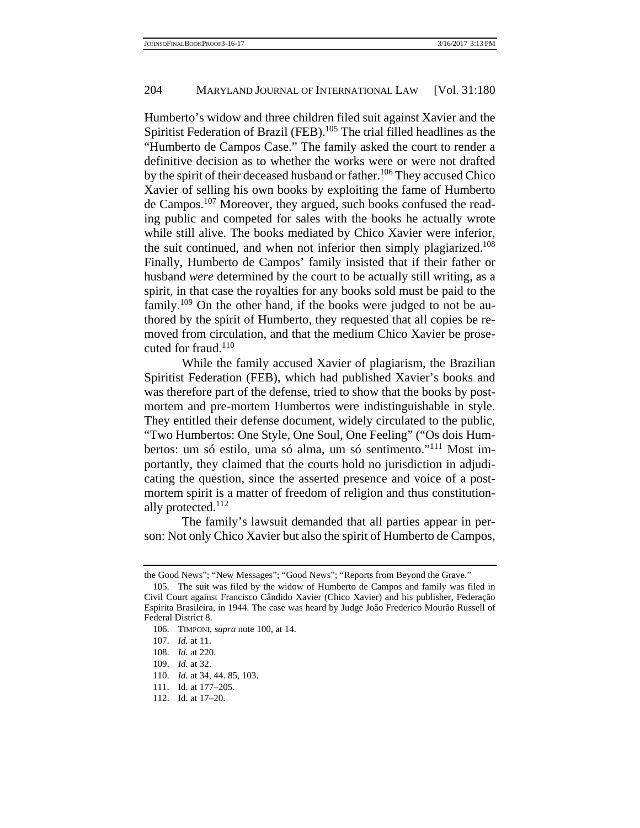Humberto's widow and three children filed suit against Xavier and the Spiritist Federation of Brazil (FEB).<sup>105</sup> The trial filled headlines as the "Humberto de Campos Case." The family asked the court to render a definitive decision as to whether the works were or were not drafted by the spirit of their deceased husband or father.<sup>106</sup> They accused Chico Xavier of selling his own books by exploiting the fame of Humberto de Campos.107 Moreover, they argued, such books confused the reading public and competed for sales with the books he actually wrote while still alive. The books mediated by Chico Xavier were inferior, the suit continued, and when not inferior then simply plagiarized.<sup>108</sup> Finally, Humberto de Campos' family insisted that if their father or husband *were* determined by the court to be actually still writing, as a spirit, in that case the royalties for any books sold must be paid to the family.<sup>109</sup> On the other hand, if the books were judged to not be authored by the spirit of Humberto, they requested that all copies be removed from circulation, and that the medium Chico Xavier be prosecuted for fraud.<sup>110</sup>

 While the family accused Xavier of plagiarism, the Brazilian Spiritist Federation (FEB), which had published Xavier's books and was therefore part of the defense, tried to show that the books by postmortem and pre-mortem Humbertos were indistinguishable in style. They entitled their defense document, widely circulated to the public, "Two Humbertos: One Style, One Soul, One Feeling" ("Os dois Humbertos: um só estilo, uma só alma, um só sentimento."111 Most importantly, they claimed that the courts hold no jurisdiction in adjudicating the question, since the asserted presence and voice of a postmortem spirit is a matter of freedom of religion and thus constitutionally protected.<sup>112</sup>

 The family's lawsuit demanded that all parties appear in person: Not only Chico Xavier but also the spirit of Humberto de Campos,

the Good News"; "New Messages"; "Good News"; "Reports from Beyond the Grave."

 <sup>105.</sup> The suit was filed by the widow of Humberto de Campos and family was filed in Civil Court against Francisco Cândido Xavier (Chico Xavier) and his publisher, Federação Espirita Brasileira, in 1944. The case was heard by Judge João Frederico Mourão Russell of Federal District 8.

 <sup>106.</sup> TIMPONI, *supra* note 100, at 14.

 <sup>107.</sup> *Id.* at 11.

 <sup>108.</sup> *Id.* at 220.

 <sup>109.</sup> *Id.* at 32.

 <sup>110.</sup> *Id.* at 34, 44. 85, 103.

 <sup>111.</sup> Id. at 177–205.

 <sup>112.</sup> Id. at 17–20.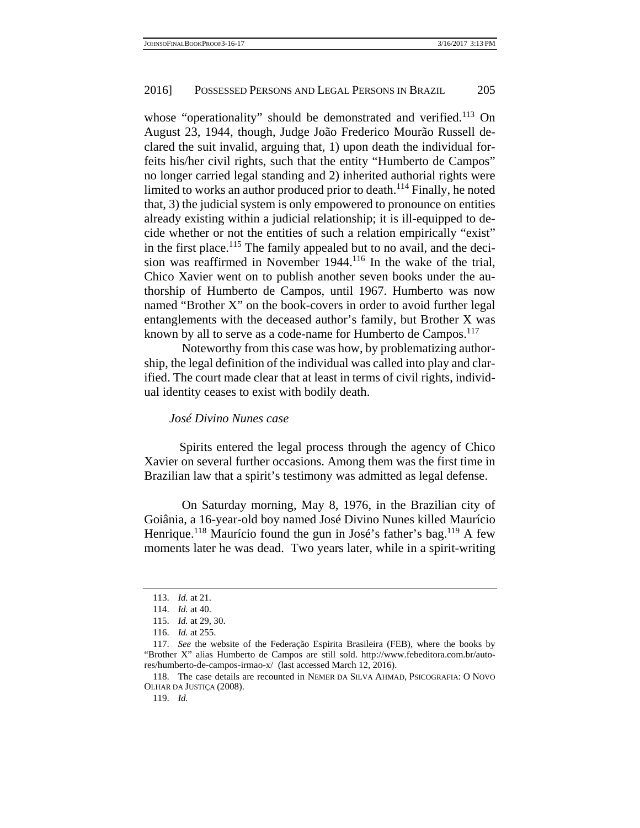whose "operationality" should be demonstrated and verified.<sup>113</sup> On August 23, 1944, though, Judge João Frederico Mourão Russell declared the suit invalid, arguing that, 1) upon death the individual forfeits his/her civil rights, such that the entity "Humberto de Campos" no longer carried legal standing and 2) inherited authorial rights were limited to works an author produced prior to death.<sup>114</sup> Finally, he noted that, 3) the judicial system is only empowered to pronounce on entities already existing within a judicial relationship; it is ill-equipped to decide whether or not the entities of such a relation empirically "exist" in the first place.<sup>115</sup> The family appealed but to no avail, and the decision was reaffirmed in November 1944.116 In the wake of the trial, Chico Xavier went on to publish another seven books under the authorship of Humberto de Campos, until 1967. Humberto was now named "Brother X" on the book-covers in order to avoid further legal entanglements with the deceased author's family, but Brother X was known by all to serve as a code-name for Humberto de Campos.<sup>117</sup>

 Noteworthy from this case was how, by problematizing authorship, the legal definition of the individual was called into play and clarified. The court made clear that at least in terms of civil rights, individual identity ceases to exist with bodily death.

#### *José Divino Nunes case*

Spirits entered the legal process through the agency of Chico Xavier on several further occasions. Among them was the first time in Brazilian law that a spirit's testimony was admitted as legal defense.

 On Saturday morning, May 8, 1976, in the Brazilian city of Goiânia, a 16-year-old boy named José Divino Nunes killed Maurício Henrique.<sup>118</sup> Maurício found the gun in José's father's bag.<sup>119</sup> A few moments later he was dead. Two years later, while in a spirit-writing

 <sup>113.</sup> *Id.* at 21.

 <sup>114.</sup> *Id.* at 40.

 <sup>115.</sup> *Id.* at 29, 30.

 <sup>116.</sup> *Id.* at 255.

 <sup>117.</sup> *See* the website of the Federação Espirita Brasileira (FEB), where the books by "Brother X" alias Humberto de Campos are still sold. http://www.febeditora.com.br/autores/humberto-de-campos-irmao-x/ (last accessed March 12, 2016).

 <sup>118.</sup> The case details are recounted in NEMER DA SILVA AHMAD, PSICOGRAFIA: O NOVO OLHAR DA JUSTIÇA (2008).

 <sup>119.</sup> *Id.*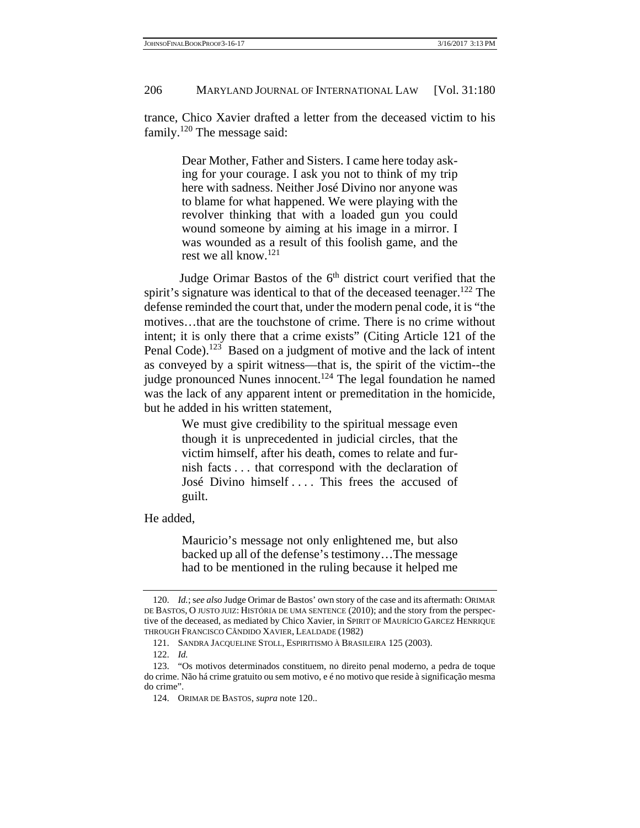trance, Chico Xavier drafted a letter from the deceased victim to his family.120 The message said:

> Dear Mother, Father and Sisters. I came here today asking for your courage. I ask you not to think of my trip here with sadness. Neither José Divino nor anyone was to blame for what happened. We were playing with the revolver thinking that with a loaded gun you could wound someone by aiming at his image in a mirror. I was wounded as a result of this foolish game, and the rest we all know.121

Judge Orimar Bastos of the 6<sup>th</sup> district court verified that the spirit's signature was identical to that of the deceased teenager.<sup>122</sup> The defense reminded the court that, under the modern penal code, it is "the motives…that are the touchstone of crime. There is no crime without intent; it is only there that a crime exists" (Citing Article 121 of the Penal Code).<sup>123</sup> Based on a judgment of motive and the lack of intent as conveyed by a spirit witness—that is, the spirit of the victim--the judge pronounced Nunes innocent.<sup>124</sup> The legal foundation he named was the lack of any apparent intent or premeditation in the homicide, but he added in his written statement,

> We must give credibility to the spiritual message even though it is unprecedented in judicial circles, that the victim himself, after his death, comes to relate and furnish facts . . . that correspond with the declaration of José Divino himself .... This frees the accused of guilt.

He added,

Mauricio's message not only enlightened me, but also backed up all of the defense's testimony…The message had to be mentioned in the ruling because it helped me

 <sup>120.</sup> *Id.*; s*ee also* Judge Orimar de Bastos' own story of the case and its aftermath: ORIMAR DE BASTOS, O JUSTO JUIZ: HISTÓRIA DE UMA SENTENCE (2010); and the story from the perspective of the deceased, as mediated by Chico Xavier, in SPIRIT OF MAURÍCIO GARCEZ HENRIQUE THROUGH FRANCISCO CÂNDIDO XAVIER, LEALDADE (1982)

 <sup>121.</sup> SANDRA JACQUELINE STOLL, ESPIRITISMO À BRASILEIRA 125 (2003).

 <sup>122.</sup> *Id.*

 <sup>123. &</sup>quot;Os motivos determinados constituem, no direito penal moderno, a pedra de toque do crime. Não há crime gratuito ou sem motivo, e é no motivo que reside à significação mesma do crime".

 <sup>124.</sup> ORIMAR DE BASTOS, *supra* note 120..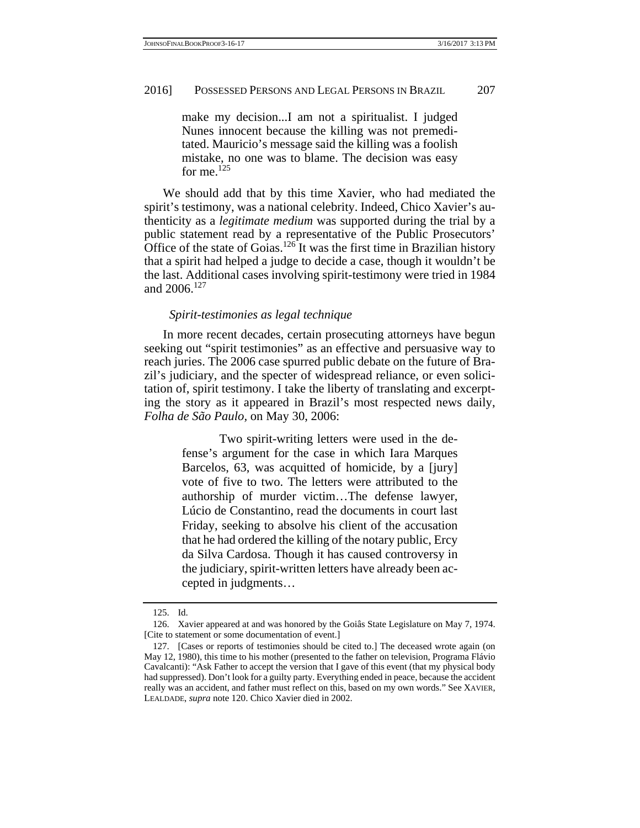make my decision...I am not a spiritualist. I judged Nunes innocent because the killing was not premeditated. Mauricio's message said the killing was a foolish mistake, no one was to blame. The decision was easy for me.<sup>125</sup>

 We should add that by this time Xavier, who had mediated the spirit's testimony, was a national celebrity. Indeed, Chico Xavier's authenticity as a *legitimate medium* was supported during the trial by a public statement read by a representative of the Public Prosecutors' Office of the state of Goias.<sup>126</sup> It was the first time in Brazilian history that a spirit had helped a judge to decide a case, though it wouldn't be the last. Additional cases involving spirit-testimony were tried in 1984 and 2006.127

#### *Spirit-testimonies as legal technique*

 In more recent decades, certain prosecuting attorneys have begun seeking out "spirit testimonies" as an effective and persuasive way to reach juries. The 2006 case spurred public debate on the future of Brazil's judiciary, and the specter of widespread reliance, or even solicitation of, spirit testimony. I take the liberty of translating and excerpting the story as it appeared in Brazil's most respected news daily, *Folha de São Paulo,* on May 30, 2006:

> Two spirit-writing letters were used in the defense's argument for the case in which Iara Marques Barcelos, 63, was acquitted of homicide, by a [jury] vote of five to two. The letters were attributed to the authorship of murder victim…The defense lawyer, Lúcio de Constantino, read the documents in court last Friday, seeking to absolve his client of the accusation that he had ordered the killing of the notary public, Ercy da Silva Cardosa. Though it has caused controversy in the judiciary, spirit-written letters have already been accepted in judgments…

 <sup>125.</sup> Id.

 <sup>126.</sup> Xavier appeared at and was honored by the Goiâs State Legislature on May 7, 1974. [Cite to statement or some documentation of event.]

 <sup>127. [</sup>Cases or reports of testimonies should be cited to.] The deceased wrote again (on May 12, 1980), this time to his mother (presented to the father on television, Programa Flávio Cavalcanti): "Ask Father to accept the version that I gave of this event (that my physical body had suppressed). Don't look for a guilty party. Everything ended in peace, because the accident really was an accident, and father must reflect on this, based on my own words." See XAVIER, LEALDADE, *supra* note 120. Chico Xavier died in 2002.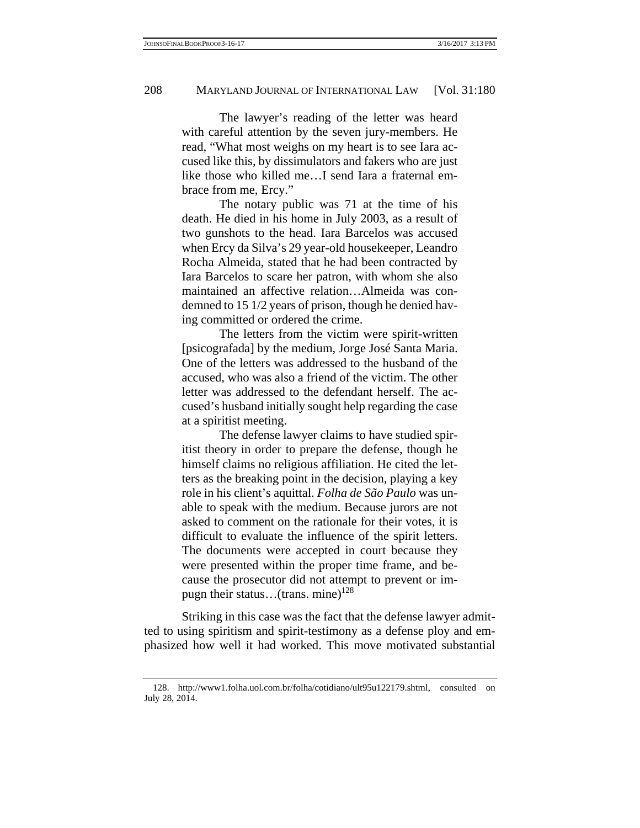The lawyer's reading of the letter was heard with careful attention by the seven jury-members. He read, "What most weighs on my heart is to see Iara accused like this, by dissimulators and fakers who are just like those who killed me…I send Iara a fraternal embrace from me, Ercy."

 The notary public was 71 at the time of his death. He died in his home in July 2003, as a result of two gunshots to the head. Iara Barcelos was accused when Ercy da Silva's 29 year-old housekeeper, Leandro Rocha Almeida, stated that he had been contracted by Iara Barcelos to scare her patron, with whom she also maintained an affective relation…Almeida was condemned to 15 1/2 years of prison, though he denied having committed or ordered the crime.

 The letters from the victim were spirit-written [psicografada] by the medium, Jorge José Santa Maria. One of the letters was addressed to the husband of the accused, who was also a friend of the victim. The other letter was addressed to the defendant herself. The accused's husband initially sought help regarding the case at a spiritist meeting.

 The defense lawyer claims to have studied spiritist theory in order to prepare the defense, though he himself claims no religious affiliation. He cited the letters as the breaking point in the decision, playing a key role in his client's aquittal. *Folha de São Paulo* was unable to speak with the medium. Because jurors are not asked to comment on the rationale for their votes, it is difficult to evaluate the influence of the spirit letters. The documents were accepted in court because they were presented within the proper time frame, and because the prosecutor did not attempt to prevent or impugn their status...(trans. mine)<sup>128</sup>

 Striking in this case was the fact that the defense lawyer admitted to using spiritism and spirit-testimony as a defense ploy and emphasized how well it had worked. This move motivated substantial

 <sup>128.</sup> http://www1.folha.uol.com.br/folha/cotidiano/ult95u122179.shtml, consulted on July 28, 2014.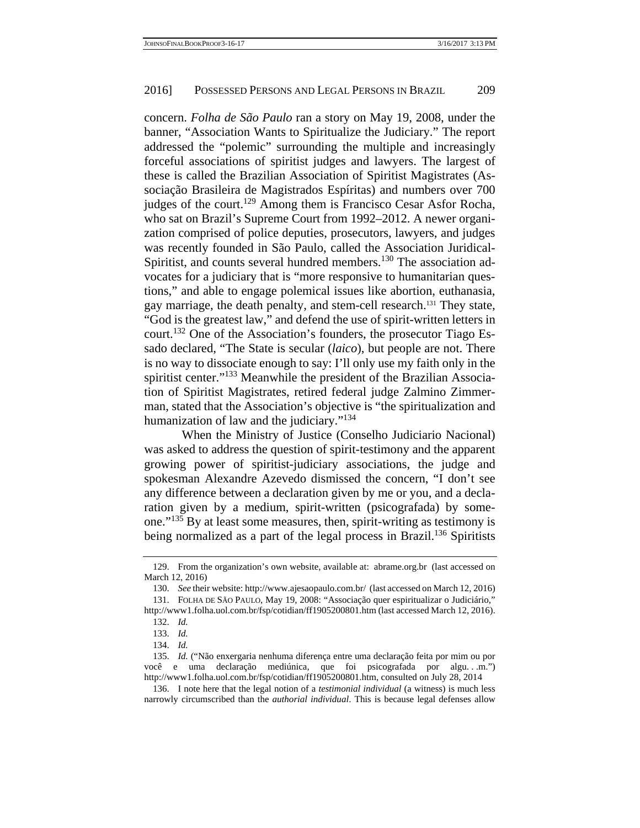concern. *Folha de São Paulo* ran a story on May 19, 2008, under the banner, "Association Wants to Spiritualize the Judiciary." The report addressed the "polemic" surrounding the multiple and increasingly forceful associations of spiritist judges and lawyers. The largest of these is called the Brazilian Association of Spiritist Magistrates (Associação Brasileira de Magistrados Espíritas) and numbers over 700 judges of the court.<sup>129</sup> Among them is Francisco Cesar Asfor Rocha, who sat on Brazil's Supreme Court from 1992–2012. A newer organization comprised of police deputies, prosecutors, lawyers, and judges was recently founded in São Paulo, called the Association Juridical-Spiritist, and counts several hundred members.<sup>130</sup> The association advocates for a judiciary that is "more responsive to humanitarian questions," and able to engage polemical issues like abortion, euthanasia, gay marriage, the death penalty, and stem-cell research.131 They state, "God is the greatest law," and defend the use of spirit-written letters in court.132 One of the Association's founders, the prosecutor Tiago Essado declared, "The State is secular (*laico*), but people are not. There is no way to dissociate enough to say: I'll only use my faith only in the spiritist center."<sup>133</sup> Meanwhile the president of the Brazilian Association of Spiritist Magistrates, retired federal judge Zalmino Zimmerman, stated that the Association's objective is "the spiritualization and humanization of law and the judiciary."<sup>134</sup>

 When the Ministry of Justice (Conselho Judiciario Nacional) was asked to address the question of spirit-testimony and the apparent growing power of spiritist-judiciary associations, the judge and spokesman Alexandre Azevedo dismissed the concern, "I don't see any difference between a declaration given by me or you, and a declaration given by a medium, spirit-written (psicografada) by someone."135 By at least some measures, then, spirit-writing as testimony is being normalized as a part of the legal process in Brazil.<sup>136</sup> Spiritists

 <sup>129.</sup> From the organization's own website, available at: abrame.org.br (last accessed on March 12, 2016)

 <sup>130.</sup> *See* their website: http://www.ajesaopaulo.com.br/ (last accessed on March 12, 2016)

 <sup>131.</sup> FOLHA DE SÃO PAULO, May 19, 2008: "Associação quer espiritualizar o Judiciário," http://www1.folha.uol.com.br/fsp/cotidian/ff1905200801.htm (last accessed March 12, 2016).

 <sup>132.</sup> *Id.*

 <sup>133.</sup> *Id.*

 <sup>134.</sup> *Id.*

 <sup>135.</sup> *Id.* ("Não enxergaria nenhuma diferença entre uma declaração feita por mim ou por você e uma declaração mediúnica, que foi psicografada por algu. . .m.") http://www1.folha.uol.com.br/fsp/cotidian/ff1905200801.htm, consulted on July 28, 2014

 <sup>136.</sup> I note here that the legal notion of a *testimonial individual* (a witness) is much less narrowly circumscribed than the *authorial individual*. This is because legal defenses allow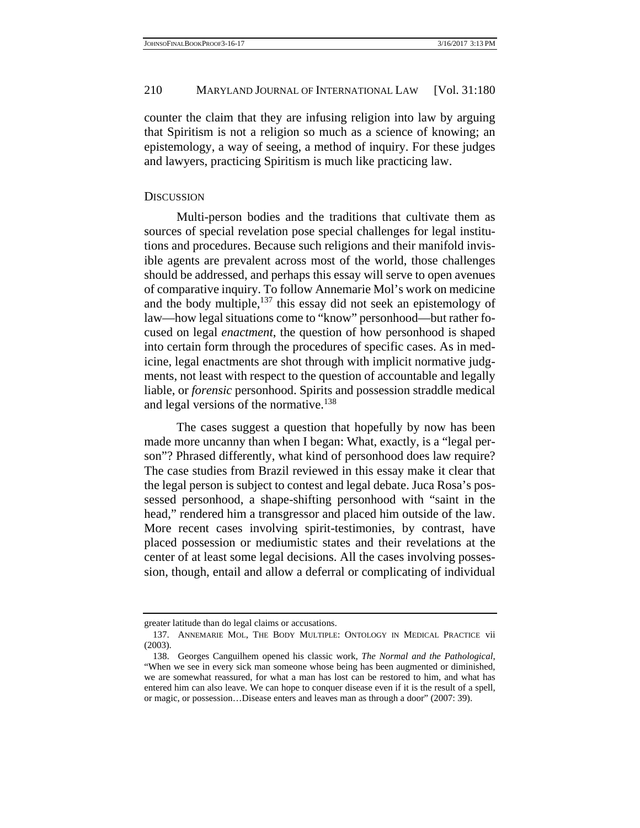counter the claim that they are infusing religion into law by arguing that Spiritism is not a religion so much as a science of knowing; an epistemology, a way of seeing, a method of inquiry. For these judges and lawyers, practicing Spiritism is much like practicing law.

# **DISCUSSION**

 Multi-person bodies and the traditions that cultivate them as sources of special revelation pose special challenges for legal institutions and procedures. Because such religions and their manifold invisible agents are prevalent across most of the world, those challenges should be addressed, and perhaps this essay will serve to open avenues of comparative inquiry. To follow Annemarie Mol's work on medicine and the body multiple, $137$  this essay did not seek an epistemology of law—how legal situations come to "know" personhood—but rather focused on legal *enactment*, the question of how personhood is shaped into certain form through the procedures of specific cases. As in medicine, legal enactments are shot through with implicit normative judgments, not least with respect to the question of accountable and legally liable, or *forensic* personhood. Spirits and possession straddle medical and legal versions of the normative.<sup>138</sup>

 The cases suggest a question that hopefully by now has been made more uncanny than when I began: What, exactly, is a "legal person"? Phrased differently, what kind of personhood does law require? The case studies from Brazil reviewed in this essay make it clear that the legal person is subject to contest and legal debate. Juca Rosa's possessed personhood, a shape-shifting personhood with "saint in the head," rendered him a transgressor and placed him outside of the law. More recent cases involving spirit-testimonies, by contrast, have placed possession or mediumistic states and their revelations at the center of at least some legal decisions. All the cases involving possession, though, entail and allow a deferral or complicating of individual

greater latitude than do legal claims or accusations.

 <sup>137.</sup> ANNEMARIE MOL, THE BODY MULTIPLE: ONTOLOGY IN MEDICAL PRACTICE vii (2003).

 <sup>138.</sup> Georges Canguilhem opened his classic work, *The Normal and the Pathological*, "When we see in every sick man someone whose being has been augmented or diminished, we are somewhat reassured, for what a man has lost can be restored to him, and what has entered him can also leave. We can hope to conquer disease even if it is the result of a spell, or magic, or possession…Disease enters and leaves man as through a door" (2007: 39).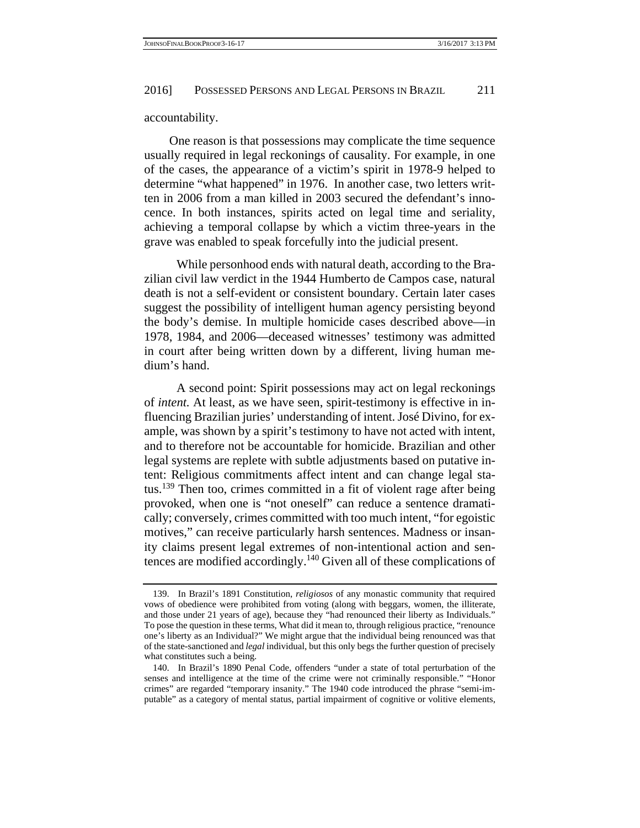accountability.

One reason is that possessions may complicate the time sequence usually required in legal reckonings of causality. For example, in one of the cases, the appearance of a victim's spirit in 1978-9 helped to determine "what happened" in 1976. In another case, two letters written in 2006 from a man killed in 2003 secured the defendant's innocence. In both instances, spirits acted on legal time and seriality, achieving a temporal collapse by which a victim three-years in the grave was enabled to speak forcefully into the judicial present.

 While personhood ends with natural death, according to the Brazilian civil law verdict in the 1944 Humberto de Campos case, natural death is not a self-evident or consistent boundary. Certain later cases suggest the possibility of intelligent human agency persisting beyond the body's demise. In multiple homicide cases described above—in 1978, 1984, and 2006—deceased witnesses' testimony was admitted in court after being written down by a different, living human medium's hand.

 A second point: Spirit possessions may act on legal reckonings of *intent.* At least, as we have seen, spirit-testimony is effective in influencing Brazilian juries' understanding of intent. José Divino, for example, was shown by a spirit's testimony to have not acted with intent, and to therefore not be accountable for homicide. Brazilian and other legal systems are replete with subtle adjustments based on putative intent: Religious commitments affect intent and can change legal status.139 Then too, crimes committed in a fit of violent rage after being provoked, when one is "not oneself" can reduce a sentence dramatically; conversely, crimes committed with too much intent, "for egoistic motives," can receive particularly harsh sentences. Madness or insanity claims present legal extremes of non-intentional action and sentences are modified accordingly.140 Given all of these complications of

 <sup>139.</sup> In Brazil's 1891 Constitution, *religiosos* of any monastic community that required vows of obedience were prohibited from voting (along with beggars, women, the illiterate, and those under 21 years of age), because they "had renounced their liberty as Individuals." To pose the question in these terms, What did it mean to, through religious practice, "renounce one's liberty as an Individual?" We might argue that the individual being renounced was that of the state-sanctioned and *legal* individual, but this only begs the further question of precisely what constitutes such a being.

 <sup>140.</sup> In Brazil's 1890 Penal Code, offenders "under a state of total perturbation of the senses and intelligence at the time of the crime were not criminally responsible." "Honor crimes" are regarded "temporary insanity." The 1940 code introduced the phrase "semi-imputable" as a category of mental status, partial impairment of cognitive or volitive elements,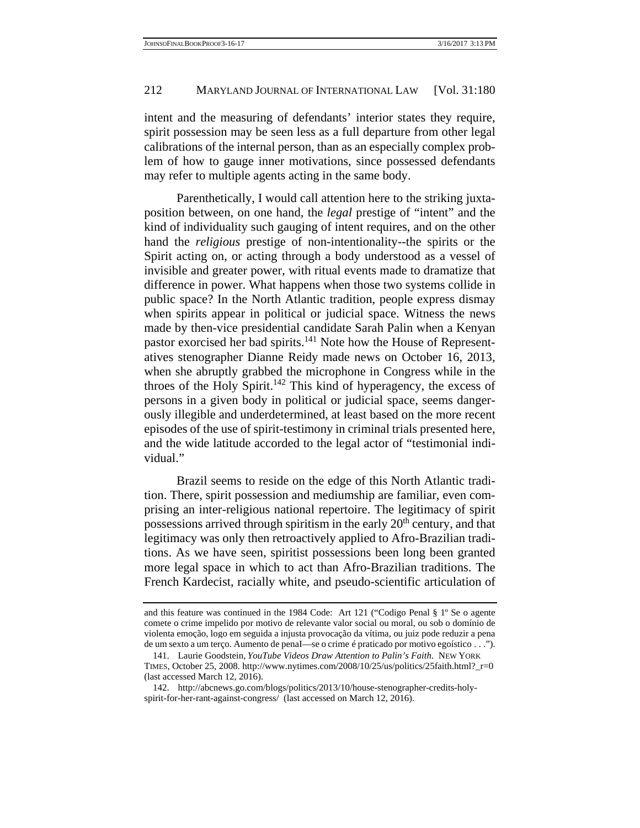intent and the measuring of defendants' interior states they require, spirit possession may be seen less as a full departure from other legal calibrations of the internal person, than as an especially complex problem of how to gauge inner motivations, since possessed defendants may refer to multiple agents acting in the same body.

 Parenthetically, I would call attention here to the striking juxtaposition between, on one hand, the *legal* prestige of "intent" and the kind of individuality such gauging of intent requires, and on the other hand the *religious* prestige of non-intentionality--the spirits or the Spirit acting on, or acting through a body understood as a vessel of invisible and greater power, with ritual events made to dramatize that difference in power. What happens when those two systems collide in public space? In the North Atlantic tradition, people express dismay when spirits appear in political or judicial space. Witness the news made by then-vice presidential candidate Sarah Palin when a Kenyan pastor exorcised her bad spirits.<sup>141</sup> Note how the House of Representatives stenographer Dianne Reidy made news on October 16, 2013, when she abruptly grabbed the microphone in Congress while in the throes of the Holy Spirit.<sup>142</sup> This kind of hyperagency, the excess of persons in a given body in political or judicial space, seems dangerously illegible and underdetermined, at least based on the more recent episodes of the use of spirit-testimony in criminal trials presented here, and the wide latitude accorded to the legal actor of "testimonial individual."

 Brazil seems to reside on the edge of this North Atlantic tradition. There, spirit possession and mediumship are familiar, even comprising an inter-religious national repertoire. The legitimacy of spirit possessions arrived through spiritism in the early 20<sup>th</sup> century, and that legitimacy was only then retroactively applied to Afro-Brazilian traditions. As we have seen, spiritist possessions been long been granted more legal space in which to act than Afro-Brazilian traditions. The French Kardecist, racially white, and pseudo-scientific articulation of

and this feature was continued in the 1984 Code: Art 121 ("Codigo Penal § 1º Se o agente comete o crime impelido por motivo de relevante valor social ou moral, ou sob o domínio de violenta emoção, logo em seguida a injusta provocação da vítima, ou juiz pode reduzir a pena de um sexto a um terço. Aumento de penaI—se o crime é praticado por motivo egoístico . . .").

 <sup>141.</sup> Laurie Goodstein, *YouTube Videos Draw Attention to Palin's Faith*. NEW YORK TIMES, October 25, 2008. http://www.nytimes.com/2008/10/25/us/politics/25faith.html?\_r=0 (last accessed March 12, 2016).

 <sup>142.</sup> http://abcnews.go.com/blogs/politics/2013/10/house-stenographer-credits-holyspirit-for-her-rant-against-congress/ (last accessed on March 12, 2016).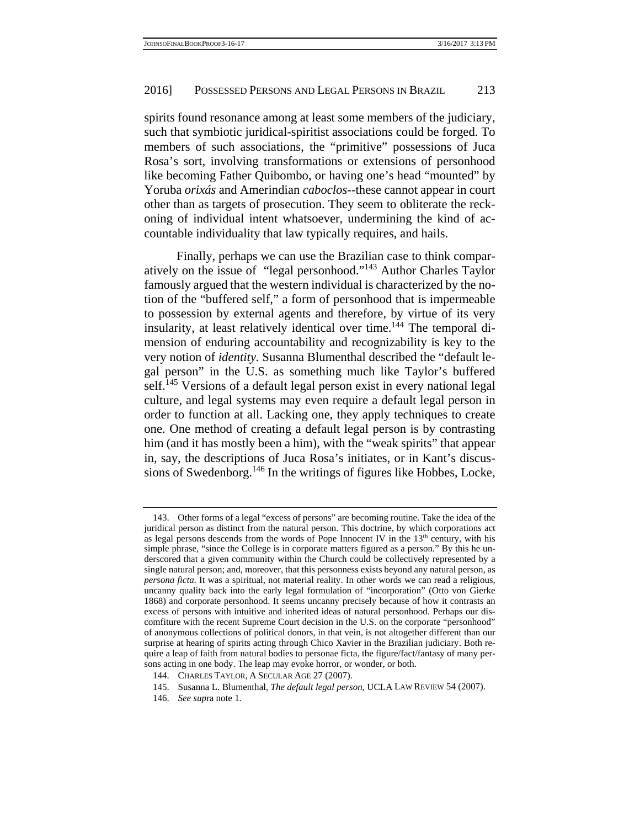spirits found resonance among at least some members of the judiciary, such that symbiotic juridical-spiritist associations could be forged. To members of such associations, the "primitive" possessions of Juca Rosa's sort, involving transformations or extensions of personhood like becoming Father Quibombo, or having one's head "mounted" by Yoruba *orixás* and Amerindian *caboclos*--these cannot appear in court other than as targets of prosecution. They seem to obliterate the reckoning of individual intent whatsoever, undermining the kind of accountable individuality that law typically requires, and hails.

 Finally, perhaps we can use the Brazilian case to think comparatively on the issue of "legal personhood."143 Author Charles Taylor famously argued that the western individual is characterized by the notion of the "buffered self," a form of personhood that is impermeable to possession by external agents and therefore, by virtue of its very insularity, at least relatively identical over time.<sup>144</sup> The temporal dimension of enduring accountability and recognizability is key to the very notion of *identity.* Susanna Blumenthal described the "default legal person" in the U.S. as something much like Taylor's buffered self.<sup>145</sup> Versions of a default legal person exist in every national legal culture, and legal systems may even require a default legal person in order to function at all. Lacking one, they apply techniques to create one. One method of creating a default legal person is by contrasting him (and it has mostly been a him), with the "weak spirits" that appear in, say, the descriptions of Juca Rosa's initiates, or in Kant's discussions of Swedenborg.146 In the writings of figures like Hobbes, Locke,

 <sup>143.</sup> Other forms of a legal "excess of persons" are becoming routine. Take the idea of the juridical person as distinct from the natural person. This doctrine, by which corporations act as legal persons descends from the words of Pope Innocent IV in the  $13<sup>th</sup>$  century, with his simple phrase, "since the College is in corporate matters figured as a person." By this he underscored that a given community within the Church could be collectively represented by a single natural person; and, moreover, that this personness exists beyond any natural person, as *persona ficta*. It was a spiritual, not material reality. In other words we can read a religious, uncanny quality back into the early legal formulation of "incorporation" (Otto von Gierke 1868) and corporate personhood. It seems uncanny precisely because of how it contrasts an excess of persons with intuitive and inherited ideas of natural personhood. Perhaps our discomfiture with the recent Supreme Court decision in the U.S. on the corporate "personhood" of anonymous collections of political donors, in that vein, is not altogether different than our surprise at hearing of spirits acting through Chico Xavier in the Brazilian judiciary. Both require a leap of faith from natural bodies to personae ficta, the figure/fact/fantasy of many persons acting in one body. The leap may evoke horror, or wonder, or both.

 <sup>144.</sup> CHARLES TAYLOR, A SECULAR AGE 27 (2007).

 <sup>145.</sup> Susanna L. Blumenthal, *The default legal person*, UCLA LAW REVIEW 54 (2007).

 <sup>146.</sup> *See sup*ra note 1.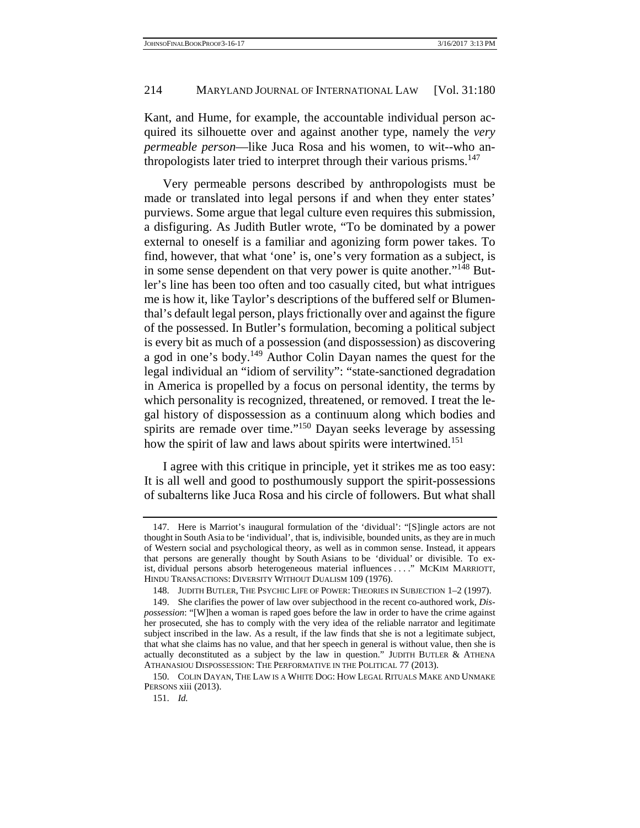Kant, and Hume, for example, the accountable individual person acquired its silhouette over and against another type, namely the *very permeable person*—like Juca Rosa and his women, to wit--who anthropologists later tried to interpret through their various prisms.<sup>147</sup>

 Very permeable persons described by anthropologists must be made or translated into legal persons if and when they enter states' purviews. Some argue that legal culture even requires this submission, a disfiguring. As Judith Butler wrote, "To be dominated by a power external to oneself is a familiar and agonizing form power takes. To find, however, that what 'one' is, one's very formation as a subject, is in some sense dependent on that very power is quite another."<sup>148</sup> Butler's line has been too often and too casually cited, but what intrigues me is how it, like Taylor's descriptions of the buffered self or Blumenthal's default legal person, plays frictionally over and against the figure of the possessed. In Butler's formulation, becoming a political subject is every bit as much of a possession (and dispossession) as discovering a god in one's body.149 Author Colin Dayan names the quest for the legal individual an "idiom of servility": "state-sanctioned degradation in America is propelled by a focus on personal identity, the terms by which personality is recognized, threatened, or removed. I treat the legal history of dispossession as a continuum along which bodies and spirits are remade over time."<sup>150</sup> Dayan seeks leverage by assessing how the spirit of law and laws about spirits were intertwined.<sup>151</sup>

 I agree with this critique in principle, yet it strikes me as too easy: It is all well and good to posthumously support the spirit-possessions of subalterns like Juca Rosa and his circle of followers. But what shall

 <sup>147.</sup> Here is Marriot's inaugural formulation of the 'dividual': "[S]ingle actors are not thought in South Asia to be 'individual', that is, indivisible, bounded units, as they are in much of Western social and psychological theory, as well as in common sense. Instead, it appears that persons are generally thought by South Asians to be 'dividual' or divisible. To exist, dividual persons absorb heterogeneous material influences . . . ." MCKIM MARRIOTT, HINDU TRANSACTIONS: DIVERSITY WITHOUT DUALISM 109 (1976).

 <sup>148.</sup> JUDITH BUTLER, THE PSYCHIC LIFE OF POWER: THEORIES IN SUBJECTION 1–2 (1997).

 <sup>149.</sup> She clarifies the power of law over subjecthood in the recent co-authored work, *Dispossession*: "[W]hen a woman is raped goes before the law in order to have the crime against her prosecuted, she has to comply with the very idea of the reliable narrator and legitimate subject inscribed in the law. As a result, if the law finds that she is not a legitimate subject, that what she claims has no value, and that her speech in general is without value, then she is actually deconstituted as a subject by the law in question." JUDITH BUTLER & ATHENA ATHANASIOU DISPOSSESSION: THE PERFORMATIVE IN THE POLITICAL 77 (2013).

 <sup>150.</sup> COLIN DAYAN, THE LAW IS A WHITE DOG: HOW LEGAL RITUALS MAKE AND UNMAKE PERSONS xiii (2013).

 <sup>151.</sup> *Id.*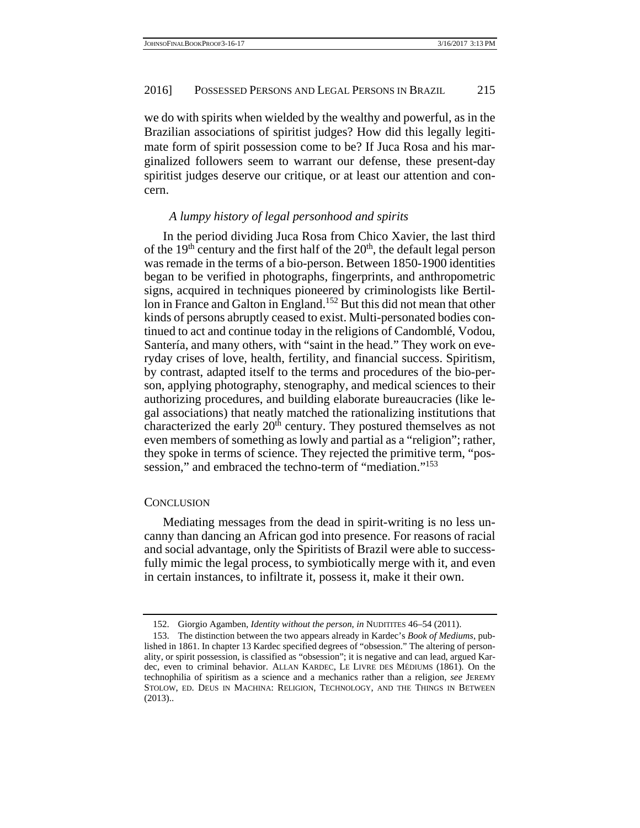we do with spirits when wielded by the wealthy and powerful, as in the Brazilian associations of spiritist judges? How did this legally legitimate form of spirit possession come to be? If Juca Rosa and his marginalized followers seem to warrant our defense, these present-day spiritist judges deserve our critique, or at least our attention and concern.

#### *A lumpy history of legal personhood and spirits*

 In the period dividing Juca Rosa from Chico Xavier, the last third of the 19<sup>th</sup> century and the first half of the  $20<sup>th</sup>$ , the default legal person was remade in the terms of a bio-person. Between 1850-1900 identities began to be verified in photographs, fingerprints, and anthropometric signs, acquired in techniques pioneered by criminologists like Bertillon in France and Galton in England.<sup>152</sup> But this did not mean that other kinds of persons abruptly ceased to exist. Multi-personated bodies continued to act and continue today in the religions of Candomblé, Vodou, Santería, and many others, with "saint in the head." They work on everyday crises of love, health, fertility, and financial success. Spiritism, by contrast, adapted itself to the terms and procedures of the bio-person, applying photography, stenography, and medical sciences to their authorizing procedures, and building elaborate bureaucracies (like legal associations) that neatly matched the rationalizing institutions that characterized the early  $20<sup>th</sup>$  century. They postured themselves as not even members of something as lowly and partial as a "religion"; rather, they spoke in terms of science. They rejected the primitive term, "possession," and embraced the techno-term of "mediation."<sup>153</sup>

## **CONCLUSION**

 Mediating messages from the dead in spirit-writing is no less uncanny than dancing an African god into presence. For reasons of racial and social advantage, only the Spiritists of Brazil were able to successfully mimic the legal process, to symbiotically merge with it, and even in certain instances, to infiltrate it, possess it, make it their own.

 <sup>152.</sup> Giorgio Agamben, *Identity without the person*, *in* NUDITITES 46–54 (2011).

 <sup>153.</sup> The distinction between the two appears already in Kardec's *Book of Mediums*, published in 1861. In chapter 13 Kardec specified degrees of "obsession." The altering of personality, or spirit possession, is classified as "obsession"; it is negative and can lead, argued Kardec, even to criminal behavior. ALLAN KARDEC, LE LIVRE DES MÉDIUMS (1861). On the technophilia of spiritism as a science and a mechanics rather than a religion, *see* JEREMY STOLOW, ED. DEUS IN MACHINA: RELIGION, TECHNOLOGY, AND THE THINGS IN BETWEEN (2013)..